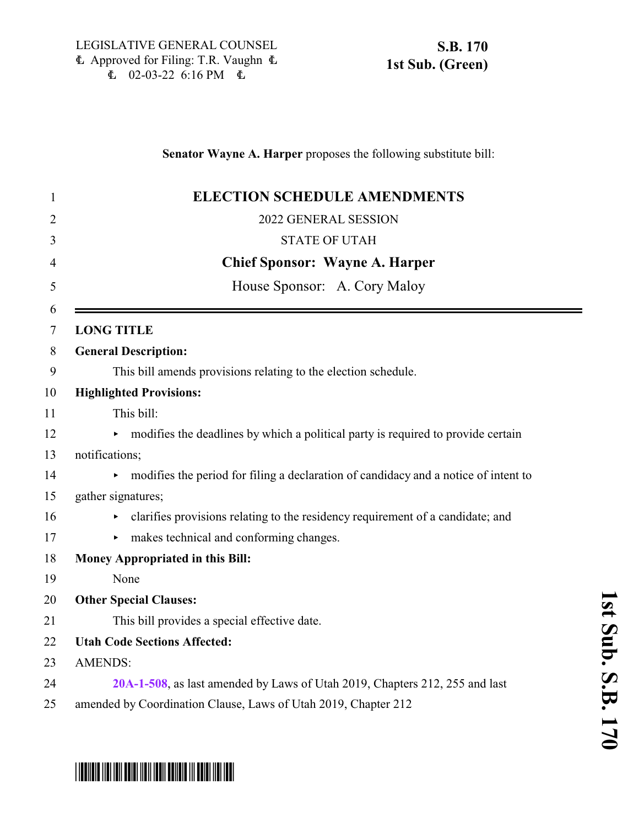### **Senator Wayne A. Harper** proposes the following substitute bill:

| $\mathbf{1}$   | <b>ELECTION SCHEDULE AMENDMENTS</b>                                                 |
|----------------|-------------------------------------------------------------------------------------|
| $\overline{2}$ | 2022 GENERAL SESSION                                                                |
| 3              | <b>STATE OF UTAH</b>                                                                |
| 4              | <b>Chief Sponsor: Wayne A. Harper</b>                                               |
| 5              | House Sponsor: A. Cory Maloy                                                        |
| 6<br>7         | <b>LONG TITLE</b>                                                                   |
| 8              | <b>General Description:</b>                                                         |
| 9              | This bill amends provisions relating to the election schedule.                      |
| 10             | <b>Highlighted Provisions:</b>                                                      |
| 11             | This bill:                                                                          |
| 12             | modifies the deadlines by which a political party is required to provide certain    |
| 13             | notifications;                                                                      |
| 14             | modifies the period for filing a declaration of candidacy and a notice of intent to |
| 15             | gather signatures;                                                                  |
| 16             | clarifies provisions relating to the residency requirement of a candidate; and      |
| 17             | makes technical and conforming changes.<br>Þ.                                       |
| 18             | <b>Money Appropriated in this Bill:</b>                                             |
| 19             | None                                                                                |
| 20             | <b>Other Special Clauses:</b>                                                       |
| 21             | This bill provides a special effective date.                                        |
| 22             | <b>Utah Code Sections Affected:</b>                                                 |
| 23             | <b>AMENDS:</b>                                                                      |
| 24             | 20A-1-508, as last amended by Laws of Utah 2019, Chapters 212, 255 and last         |
| 25             | amended by Coordination Clause, Laws of Utah 2019, Chapter 212                      |

### **s t S u b.**  $\mathbf{S}$ .<br>B. **1 7 0**

**1**

# \*SB0170S01\*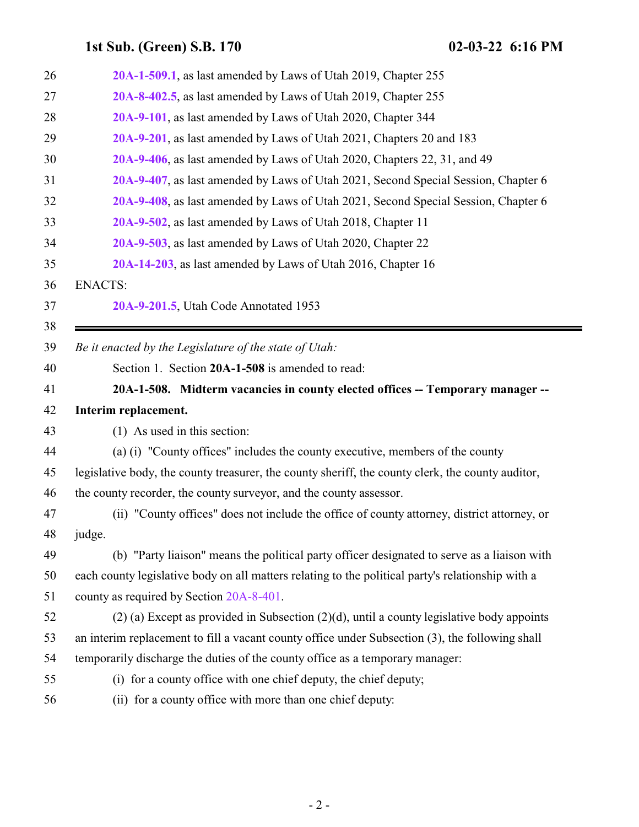<span id="page-1-0"></span>

| 26 | 20A-1-509.1, as last amended by Laws of Utah 2019, Chapter 255                                    |
|----|---------------------------------------------------------------------------------------------------|
| 27 | 20A-8-402.5, as last amended by Laws of Utah 2019, Chapter 255                                    |
| 28 | 20A-9-101, as last amended by Laws of Utah 2020, Chapter 344                                      |
| 29 | 20A-9-201, as last amended by Laws of Utah 2021, Chapters 20 and 183                              |
| 30 | 20A-9-406, as last amended by Laws of Utah 2020, Chapters 22, 31, and 49                          |
| 31 | 20A-9-407, as last amended by Laws of Utah 2021, Second Special Session, Chapter 6                |
| 32 | 20A-9-408, as last amended by Laws of Utah 2021, Second Special Session, Chapter 6                |
| 33 | 20A-9-502, as last amended by Laws of Utah 2018, Chapter 11                                       |
| 34 | 20A-9-503, as last amended by Laws of Utah 2020, Chapter 22                                       |
| 35 | 20A-14-203, as last amended by Laws of Utah 2016, Chapter 16                                      |
| 36 | <b>ENACTS:</b>                                                                                    |
| 37 | 20A-9-201.5, Utah Code Annotated 1953                                                             |
| 38 |                                                                                                   |
| 39 | Be it enacted by the Legislature of the state of Utah:                                            |
| 40 | Section 1. Section 20A-1-508 is amended to read:                                                  |
| 41 | 20A-1-508. Midterm vacancies in county elected offices -- Temporary manager --                    |
| 42 | Interim replacement.                                                                              |
| 43 | (1) As used in this section:                                                                      |
| 44 | (a) (i) "County offices" includes the county executive, members of the county                     |
| 45 | legislative body, the county treasurer, the county sheriff, the county clerk, the county auditor, |
| 46 | the county recorder, the county surveyor, and the county assessor.                                |
| 47 | (ii) "County offices" does not include the office of county attorney, district attorney, or       |
| 48 | judge.                                                                                            |
| 49 | (b) "Party liaison" means the political party officer designated to serve as a liaison with       |
| 50 | each county legislative body on all matters relating to the political party's relationship with a |
| 51 | county as required by Section 20A-8-401.                                                          |
| 52 | $(2)$ (a) Except as provided in Subsection $(2)(d)$ , until a county legislative body appoints    |
| 53 | an interim replacement to fill a vacant county office under Subsection (3), the following shall   |
| 54 | temporarily discharge the duties of the county office as a temporary manager:                     |
| 55 | (i) for a county office with one chief deputy, the chief deputy;                                  |
| 56 | (ii) for a county office with more than one chief deputy:                                         |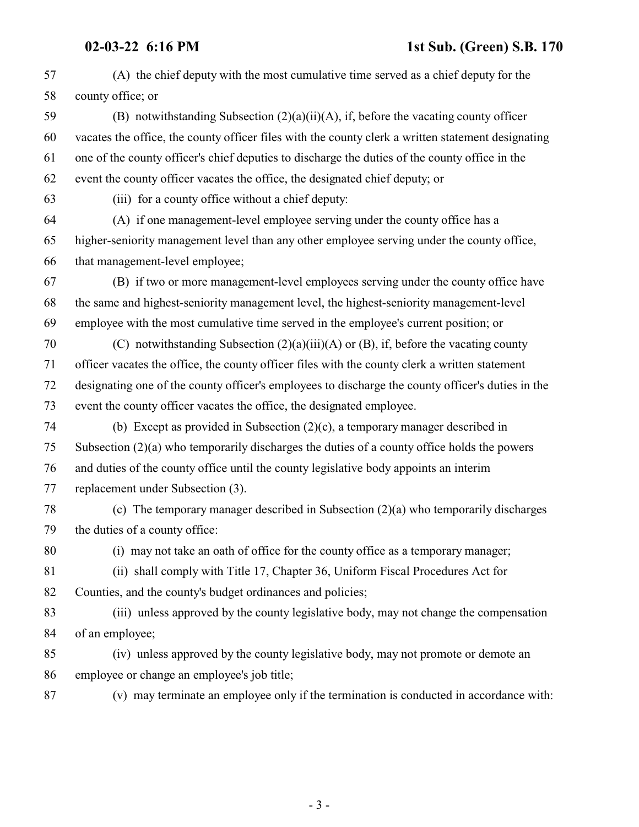(A) the chief deputy with the most cumulative time served as a chief deputy for the county office; or (B) notwithstanding Subsection (2)(a)(ii)(A), if, before the vacating county officer vacates the office, the county officer files with the county clerk a written statement designating one of the county officer's chief deputies to discharge the duties of the county office in the event the county officer vacates the office, the designated chief deputy; or (iii) for a county office without a chief deputy: (A) if one management-level employee serving under the county office has a higher-seniority management level than any other employee serving under the county office, that management-level employee; (B) if two or more management-level employees serving under the county office have the same and highest-seniority management level, the highest-seniority management-level employee with the most cumulative time served in the employee's current position; or (C) notwithstanding Subsection (2)(a)(iii)(A) or (B), if, before the vacating county officer vacates the office, the county officer files with the county clerk a written statement designating one of the county officer's employees to discharge the county officer's duties in the event the county officer vacates the office, the designated employee. (b) Except as provided in Subsection (2)(c), a temporary manager described in Subsection (2)(a) who temporarily discharges the duties of a county office holds the powers and duties of the county office until the county legislative body appoints an interim replacement under Subsection (3). (c) The temporary manager described in Subsection (2)(a) who temporarily discharges the duties of a county office: (i) may not take an oath of office for the county office as a temporary manager; (ii) shall comply with Title 17, Chapter 36, Uniform Fiscal Procedures Act for Counties, and the county's budget ordinances and policies; (iii) unless approved by the county legislative body, may not change the compensation of an employee; (iv) unless approved by the county legislative body, may not promote or demote an employee or change an employee's job title; (v) may terminate an employee only if the termination is conducted in accordance with: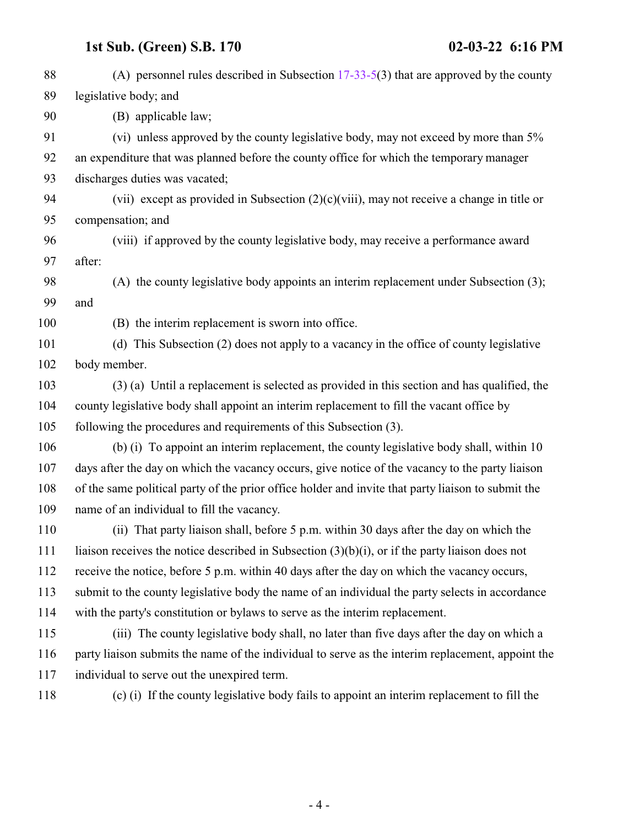| 88  | (A) personnel rules described in Subsection $17-33-5(3)$ that are approved by the county           |
|-----|----------------------------------------------------------------------------------------------------|
| 89  | legislative body; and                                                                              |
| 90  | (B) applicable law;                                                                                |
| 91  | (vi) unless approved by the county legislative body, may not exceed by more than 5%                |
| 92  | an expenditure that was planned before the county office for which the temporary manager           |
| 93  | discharges duties was vacated;                                                                     |
| 94  | (vii) except as provided in Subsection $(2)(c)(viii)$ , may not receive a change in title or       |
| 95  | compensation; and                                                                                  |
| 96  | (viii) if approved by the county legislative body, may receive a performance award                 |
| 97  | after:                                                                                             |
| 98  | (A) the county legislative body appoints an interim replacement under Subsection (3);              |
| 99  | and                                                                                                |
| 100 | (B) the interim replacement is sworn into office.                                                  |
| 101 | (d) This Subsection (2) does not apply to a vacancy in the office of county legislative            |
| 102 | body member.                                                                                       |
| 103 | (3) (a) Until a replacement is selected as provided in this section and has qualified, the         |
| 104 | county legislative body shall appoint an interim replacement to fill the vacant office by          |
| 105 | following the procedures and requirements of this Subsection (3).                                  |
| 106 | (b) (i) To appoint an interim replacement, the county legislative body shall, within 10            |
| 107 | days after the day on which the vacancy occurs, give notice of the vacancy to the party liaison    |
| 108 | of the same political party of the prior office holder and invite that party liaison to submit the |
| 109 | name of an individual to fill the vacancy.                                                         |
| 110 | (ii) That party liaison shall, before 5 p.m. within 30 days after the day on which the             |
| 111 | liaison receives the notice described in Subsection $(3)(b)(i)$ , or if the party liaison does not |
| 112 | receive the notice, before 5 p.m. within 40 days after the day on which the vacancy occurs,        |
| 113 | submit to the county legislative body the name of an individual the party selects in accordance    |
| 114 | with the party's constitution or bylaws to serve as the interim replacement.                       |
| 115 | (iii) The county legislative body shall, no later than five days after the day on which a          |
| 116 | party liaison submits the name of the individual to serve as the interim replacement, appoint the  |
| 117 | individual to serve out the unexpired term.                                                        |
| 118 | (c) (i) If the county legislative body fails to appoint an interim replacement to fill the         |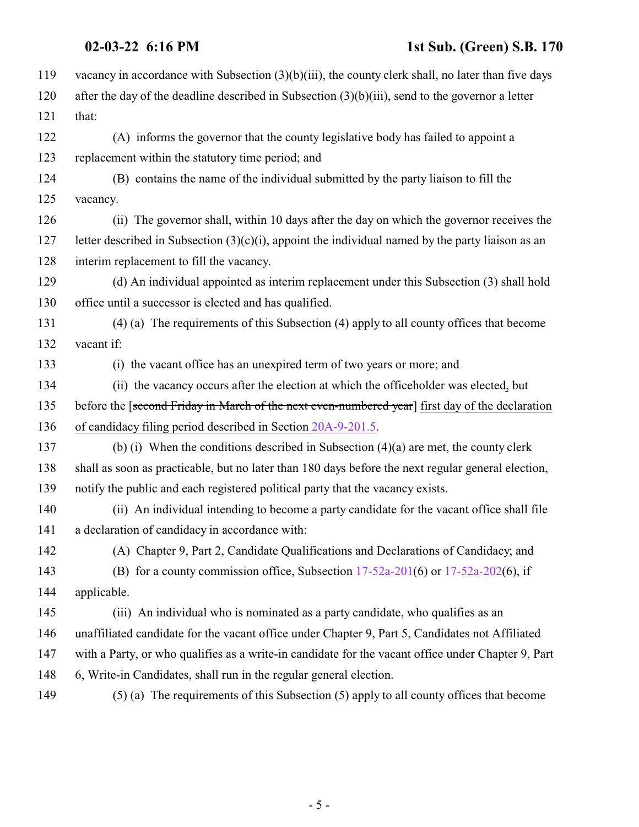| 119 | vacancy in accordance with Subsection $(3)(b)(iii)$ , the county clerk shall, no later than five days |
|-----|-------------------------------------------------------------------------------------------------------|
| 120 | after the day of the deadline described in Subsection $(3)(b)(iii)$ , send to the governor a letter   |
| 121 | that:                                                                                                 |
| 122 | (A) informs the governor that the county legislative body has failed to appoint a                     |
| 123 | replacement within the statutory time period; and                                                     |
| 124 | (B) contains the name of the individual submitted by the party liaison to fill the                    |
| 125 | vacancy.                                                                                              |
| 126 | (ii) The governor shall, within 10 days after the day on which the governor receives the              |
| 127 | letter described in Subsection $(3)(c)(i)$ , appoint the individual named by the party liaison as an  |
| 128 | interim replacement to fill the vacancy.                                                              |
| 129 | (d) An individual appointed as interim replacement under this Subsection (3) shall hold               |
| 130 | office until a successor is elected and has qualified.                                                |
| 131 | (4) (a) The requirements of this Subsection (4) apply to all county offices that become               |
| 132 | vacant if:                                                                                            |
| 133 | (i) the vacant office has an unexpired term of two years or more; and                                 |
| 134 | (ii) the vacancy occurs after the election at which the officeholder was elected, but                 |
| 135 | before the [second Friday in March of the next even-numbered year] first day of the declaration       |
| 136 | of candidacy filing period described in Section 20A-9-201.5.                                          |
| 137 | (b) (i) When the conditions described in Subsection $(4)(a)$ are met, the county clerk                |
| 138 | shall as soon as practicable, but no later than 180 days before the next regular general election,    |
| 139 | notify the public and each registered political party that the vacancy exists.                        |
| 140 | (ii) An individual intending to become a party candidate for the vacant office shall file             |
| 141 | a declaration of candidacy in accordance with:                                                        |
| 142 | (A) Chapter 9, Part 2, Candidate Qualifications and Declarations of Candidacy; and                    |
| 143 | (B) for a county commission office, Subsection $17-52a-201(6)$ or $17-52a-202(6)$ , if                |
| 144 | applicable.                                                                                           |
| 145 | (iii) An individual who is nominated as a party candidate, who qualifies as an                        |
| 146 | unaffiliated candidate for the vacant office under Chapter 9, Part 5, Candidates not Affiliated       |
| 147 | with a Party, or who qualifies as a write-in candidate for the vacant office under Chapter 9, Part    |
| 148 | 6, Write-in Candidates, shall run in the regular general election.                                    |
| 149 | $(5)$ (a) The requirements of this Subsection $(5)$ apply to all county offices that become           |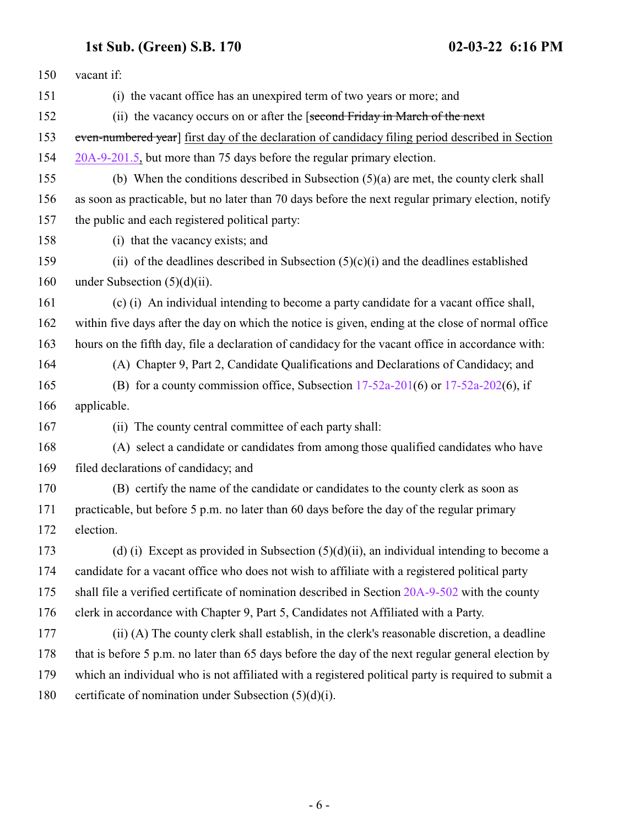| 150 | vacant if:                                                                                          |
|-----|-----------------------------------------------------------------------------------------------------|
| 151 | (i) the vacant office has an unexpired term of two years or more; and                               |
| 152 | (ii) the vacancy occurs on or after the [second Friday in March of the next                         |
| 153 | even-numbered year] first day of the declaration of candidacy filing period described in Section    |
| 154 | 20A-9-201.5, but more than 75 days before the regular primary election.                             |
| 155 | (b) When the conditions described in Subsection $(5)(a)$ are met, the county clerk shall            |
| 156 | as soon as practicable, but no later than 70 days before the next regular primary election, notify  |
| 157 | the public and each registered political party:                                                     |
| 158 | (i) that the vacancy exists; and                                                                    |
| 159 | (ii) of the deadlines described in Subsection $(5)(c)(i)$ and the deadlines established             |
| 160 | under Subsection $(5)(d)(ii)$ .                                                                     |
| 161 | (c) (i) An individual intending to become a party candidate for a vacant office shall,              |
| 162 | within five days after the day on which the notice is given, ending at the close of normal office   |
| 163 | hours on the fifth day, file a declaration of candidacy for the vacant office in accordance with:   |
| 164 | (A) Chapter 9, Part 2, Candidate Qualifications and Declarations of Candidacy; and                  |
| 165 | (B) for a county commission office, Subsection $17-52a-201(6)$ or $17-52a-202(6)$ , if              |
| 166 | applicable.                                                                                         |
| 167 | (ii) The county central committee of each party shall:                                              |
| 168 | (A) select a candidate or candidates from among those qualified candidates who have                 |
| 169 | filed declarations of candidacy; and                                                                |
| 170 | (B) certify the name of the candidate or candidates to the county clerk as soon as                  |
| 171 | practicable, but before 5 p.m. no later than 60 days before the day of the regular primary          |
| 172 | election.                                                                                           |
| 173 | (d) (i) Except as provided in Subsection $(5)(d)(ii)$ , an individual intending to become a         |
| 174 | candidate for a vacant office who does not wish to affiliate with a registered political party      |
| 175 | shall file a verified certificate of nomination described in Section 20A-9-502 with the county      |
| 176 | clerk in accordance with Chapter 9, Part 5, Candidates not Affiliated with a Party.                 |
| 177 | (ii) (A) The county clerk shall establish, in the clerk's reasonable discretion, a deadline         |
| 178 | that is before 5 p.m. no later than 65 days before the day of the next regular general election by  |
| 179 | which an individual who is not affiliated with a registered political party is required to submit a |
| 180 | certificate of nomination under Subsection $(5)(d)(i)$ .                                            |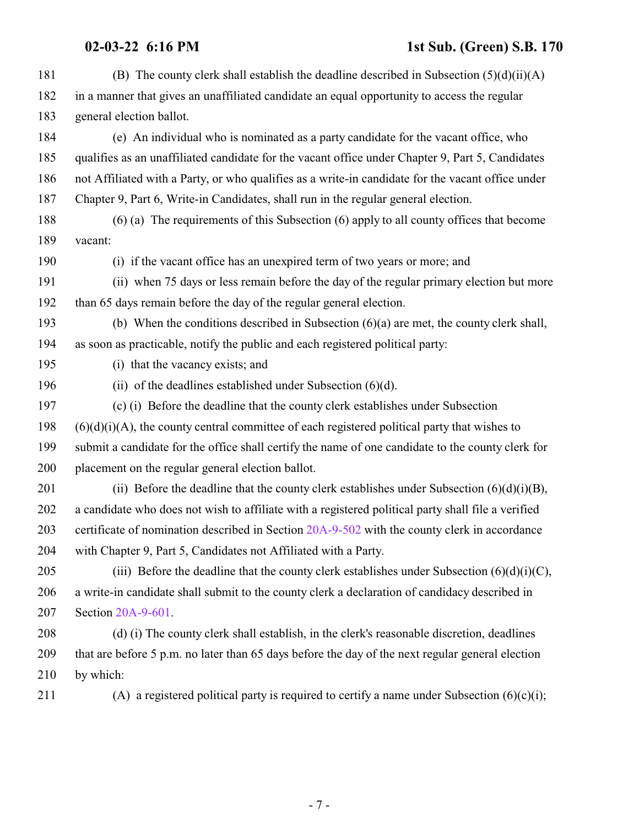## **02-03-22 6:16 PM 1st Sub. (Green) S.B. 170**

| 181 | (B) The county clerk shall establish the deadline described in Subsection $(5)(d)(ii)(A)$          |
|-----|----------------------------------------------------------------------------------------------------|
| 182 | in a manner that gives an unaffiliated candidate an equal opportunity to access the regular        |
| 183 | general election ballot.                                                                           |
| 184 | (e) An individual who is nominated as a party candidate for the vacant office, who                 |
| 185 | qualifies as an unaffiliated candidate for the vacant office under Chapter 9, Part 5, Candidates   |
| 186 | not Affiliated with a Party, or who qualifies as a write-in candidate for the vacant office under  |
| 187 | Chapter 9, Part 6, Write-in Candidates, shall run in the regular general election.                 |
| 188 | $(6)$ (a) The requirements of this Subsection $(6)$ apply to all county offices that become        |
| 189 | vacant:                                                                                            |
| 190 | (i) if the vacant office has an unexpired term of two years or more; and                           |
| 191 | (ii) when 75 days or less remain before the day of the regular primary election but more           |
| 192 | than 65 days remain before the day of the regular general election.                                |
| 193 | (b) When the conditions described in Subsection $(6)(a)$ are met, the county clerk shall,          |
| 194 | as soon as practicable, notify the public and each registered political party:                     |
| 195 | (i) that the vacancy exists; and                                                                   |
| 196 | (ii) of the deadlines established under Subsection $(6)(d)$ .                                      |
| 197 | (c) (i) Before the deadline that the county clerk establishes under Subsection                     |
| 198 | $(6)(d)(i)(A)$ , the county central committee of each registered political party that wishes to    |
| 199 | submit a candidate for the office shall certify the name of one candidate to the county clerk for  |
| 200 | placement on the regular general election ballot.                                                  |
| 201 | (ii) Before the deadline that the county clerk establishes under Subsection $(6)(d)(i)(B)$ ,       |
| 202 | a candidate who does not wish to affiliate with a registered political party shall file a verified |
| 203 | certificate of nomination described in Section 20A-9-502 with the county clerk in accordance       |
| 204 | with Chapter 9, Part 5, Candidates not Affiliated with a Party.                                    |
| 205 | (iii) Before the deadline that the county clerk establishes under Subsection $(6)(d)(i)(C)$ ,      |
| 206 | a write-in candidate shall submit to the county clerk a declaration of candidacy described in      |
| 207 | Section 20A-9-601.                                                                                 |
| 208 | (d) (i) The county clerk shall establish, in the clerk's reasonable discretion, deadlines          |
| 209 | that are before 5 p.m. no later than 65 days before the day of the next regular general election   |
| 210 | by which:                                                                                          |
| 211 | (A) a registered political party is required to certify a name under Subsection $(6)(c)(i)$ ;      |
|     |                                                                                                    |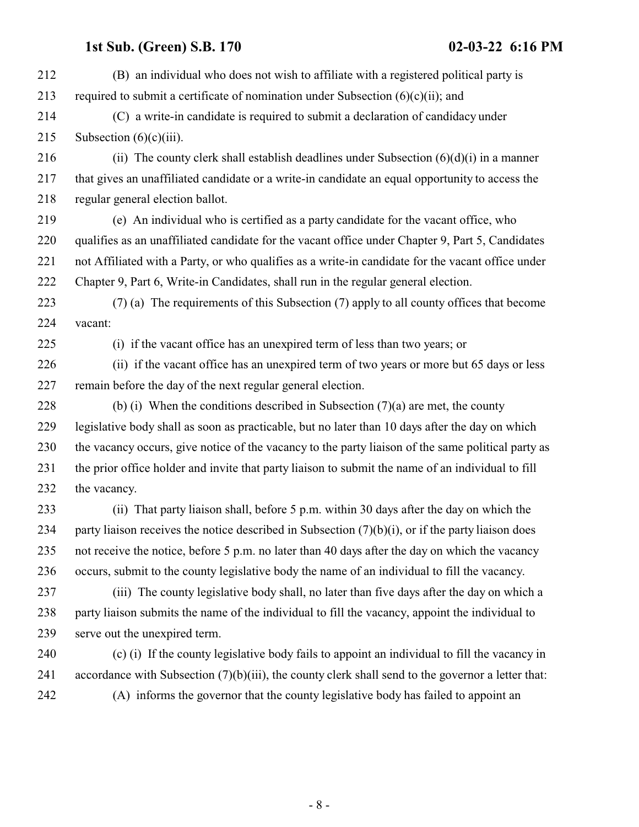(B) an individual who does not wish to affiliate with a registered political party is 213 required to submit a certificate of nomination under Subsection  $(6)(c)(ii)$ ; and (C) a write-in candidate is required to submit a declaration of candidacy under 215 Subsection  $(6)(c)(iii)$ . 216 (ii) The county clerk shall establish deadlines under Subsection  $(6)(d)(i)$  in a manner that gives an unaffiliated candidate or a write-in candidate an equal opportunity to access the regular general election ballot. (e) An individual who is certified as a party candidate for the vacant office, who qualifies as an unaffiliated candidate for the vacant office under Chapter 9, Part 5, Candidates not Affiliated with a Party, or who qualifies as a write-in candidate for the vacant office under Chapter 9, Part 6, Write-in Candidates, shall run in the regular general election. (7) (a) The requirements of this Subsection (7) apply to all county offices that become vacant: (i) if the vacant office has an unexpired term of less than two years; or (ii) if the vacant office has an unexpired term of two years or more but 65 days or less remain before the day of the next regular general election. 228 (b) (i) When the conditions described in Subsection  $(7)(a)$  are met, the county legislative body shall as soon as practicable, but no later than 10 days after the day on which the vacancy occurs, give notice of the vacancy to the party liaison of the same political party as the prior office holder and invite that party liaison to submit the name of an individual to fill the vacancy. (ii) That party liaison shall, before 5 p.m. within 30 days after the day on which the 234 party liaison receives the notice described in Subsection  $(7)(b)(i)$ , or if the party liaison does not receive the notice, before 5 p.m. no later than 40 days after the day on which the vacancy occurs, submit to the county legislative body the name of an individual to fill the vacancy. (iii) The county legislative body shall, no later than five days after the day on which a party liaison submits the name of the individual to fill the vacancy, appoint the individual to serve out the unexpired term. (c) (i) If the county legislative body fails to appoint an individual to fill the vacancy in accordance with Subsection (7)(b)(iii), the county clerk shall send to the governor a letter that: (A) informs the governor that the county legislative body has failed to appoint an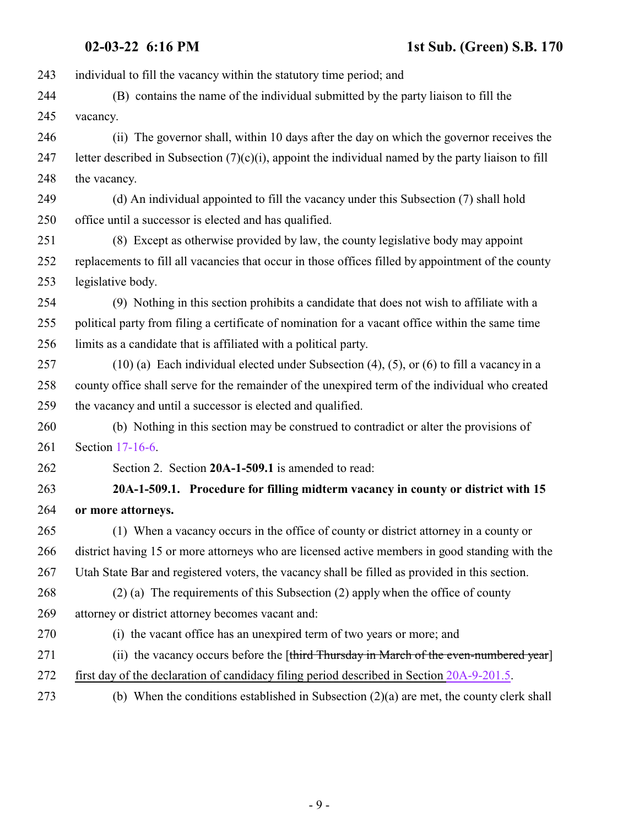<span id="page-8-0"></span> individual to fill the vacancy within the statutory time period; and (B) contains the name of the individual submitted by the party liaison to fill the vacancy. (ii) The governor shall, within 10 days after the day on which the governor receives the 247 letter described in Subsection  $(7)(c)(i)$ , appoint the individual named by the party liaison to fill the vacancy. (d) An individual appointed to fill the vacancy under this Subsection (7) shall hold office until a successor is elected and has qualified. (8) Except as otherwise provided by law, the county legislative body may appoint replacements to fill all vacancies that occur in those offices filled by appointment of the county legislative body. (9) Nothing in this section prohibits a candidate that does not wish to affiliate with a political party from filing a certificate of nomination for a vacant office within the same time limits as a candidate that is affiliated with a political party. (10) (a) Each individual elected under Subsection (4), (5), or (6) to fill a vacancy in a county office shall serve for the remainder of the unexpired term of the individual who created the vacancy and until a successor is elected and qualified. (b) Nothing in this section may be construed to contradict or alter the provisions of Section [17-16-6](http://le.utah.gov/UtahCode/SectionLookup.jsp?section=17-16-6&session=2022GS). Section 2. Section **20A-1-509.1** is amended to read: **20A-1-509.1. Procedure for filling midterm vacancy in county or district with 15 or more attorneys.** (1) When a vacancy occurs in the office of county or district attorney in a county or district having 15 or more attorneys who are licensed active members in good standing with the Utah State Bar and registered voters, the vacancy shall be filled as provided in this section. (2) (a) The requirements of this Subsection (2) apply when the office of county attorney or district attorney becomes vacant and: (i) the vacant office has an unexpired term of two years or more; and 271 (ii) the vacancy occurs before the [third Thursday in March of the even-numbered year] first day of the declaration of candidacy filing period described in Section [20A-9-201.5](#page-20-1). (b) When the conditions established in Subsection (2)(a) are met, the county clerk shall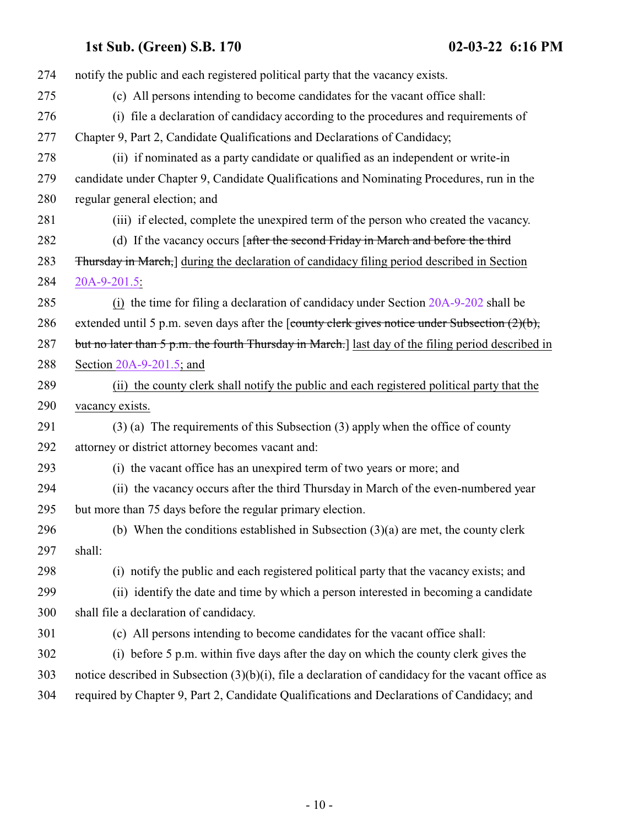| 274 | notify the public and each registered political party that the vacancy exists.                        |
|-----|-------------------------------------------------------------------------------------------------------|
| 275 | (c) All persons intending to become candidates for the vacant office shall:                           |
| 276 | (i) file a declaration of candidacy according to the procedures and requirements of                   |
| 277 | Chapter 9, Part 2, Candidate Qualifications and Declarations of Candidacy;                            |
| 278 | (ii) if nominated as a party candidate or qualified as an independent or write-in                     |
| 279 | candidate under Chapter 9, Candidate Qualifications and Nominating Procedures, run in the             |
| 280 | regular general election; and                                                                         |
| 281 | (iii) if elected, complete the unexpired term of the person who created the vacancy.                  |
| 282 | (d) If the vacancy occurs [after the second Friday in March and before the third                      |
| 283 | <b>Thursday in March,</b> during the declaration of candidacy filing period described in Section      |
| 284 | 20A-9-201.5:                                                                                          |
| 285 | (i) the time for filing a declaration of candidacy under Section 20A-9-202 shall be                   |
| 286 | extended until 5 p.m. seven days after the [county clerk gives notice under Subsection $(2)(b)$ ,     |
| 287 | but no later than 5 p.m. the fourth Thursday in March.] last day of the filing period described in    |
| 288 | Section $20A-9-201.5$ ; and                                                                           |
| 289 | (ii) the county clerk shall notify the public and each registered political party that the            |
| 290 | vacancy exists.                                                                                       |
| 291 | $(3)$ (a) The requirements of this Subsection (3) apply when the office of county                     |
| 292 | attorney or district attorney becomes vacant and:                                                     |
| 293 | (i) the vacant office has an unexpired term of two years or more; and                                 |
| 294 | (ii) the vacancy occurs after the third Thursday in March of the even-numbered year                   |
| 295 | but more than 75 days before the regular primary election.                                            |
| 296 | (b) When the conditions established in Subsection $(3)(a)$ are met, the county clerk                  |
| 297 | shall:                                                                                                |
| 298 | (i) notify the public and each registered political party that the vacancy exists; and                |
| 299 | (ii) identify the date and time by which a person interested in becoming a candidate                  |
| 300 | shall file a declaration of candidacy.                                                                |
| 301 | (c) All persons intending to become candidates for the vacant office shall:                           |
| 302 | (i) before 5 p.m. within five days after the day on which the county clerk gives the                  |
| 303 | notice described in Subsection $(3)(b)(i)$ , file a declaration of candidacy for the vacant office as |
| 304 | required by Chapter 9, Part 2, Candidate Qualifications and Declarations of Candidacy; and            |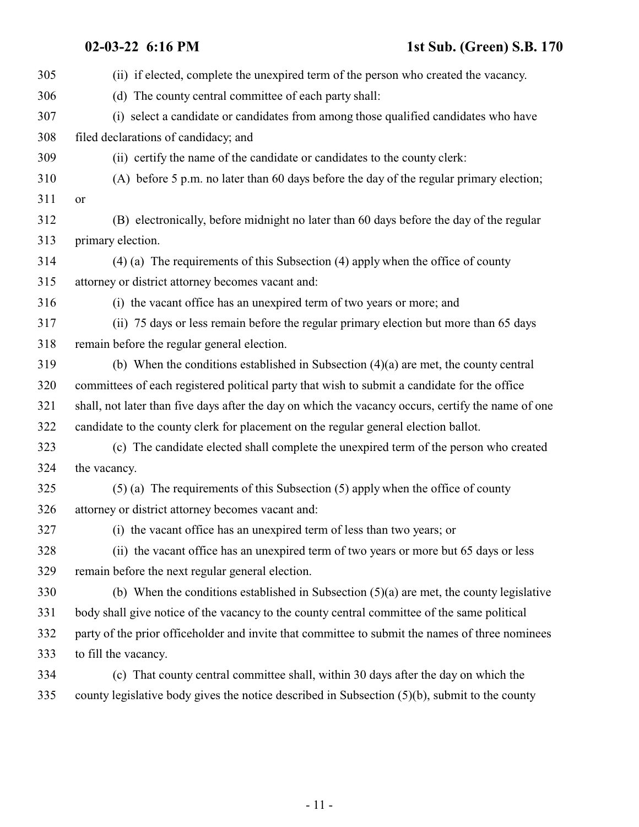| 305 | (ii) if elected, complete the unexpired term of the person who created the vacancy.                |
|-----|----------------------------------------------------------------------------------------------------|
| 306 | (d) The county central committee of each party shall:                                              |
| 307 | (i) select a candidate or candidates from among those qualified candidates who have                |
| 308 | filed declarations of candidacy; and                                                               |
| 309 | (ii) certify the name of the candidate or candidates to the county clerk:                          |
| 310 | (A) before 5 p.m. no later than 60 days before the day of the regular primary election;            |
| 311 | or                                                                                                 |
| 312 | (B) electronically, before midnight no later than 60 days before the day of the regular            |
| 313 | primary election.                                                                                  |
| 314 | $(4)$ (a) The requirements of this Subsection (4) apply when the office of county                  |
| 315 | attorney or district attorney becomes vacant and:                                                  |
| 316 | (i) the vacant office has an unexpired term of two years or more; and                              |
| 317 | (ii) 75 days or less remain before the regular primary election but more than 65 days              |
| 318 | remain before the regular general election.                                                        |
| 319 | (b) When the conditions established in Subsection $(4)(a)$ are met, the county central             |
| 320 | committees of each registered political party that wish to submit a candidate for the office       |
| 321 | shall, not later than five days after the day on which the vacancy occurs, certify the name of one |
| 322 | candidate to the county clerk for placement on the regular general election ballot.                |
| 323 | (c) The candidate elected shall complete the unexpired term of the person who created              |
| 324 | the vacancy.                                                                                       |
| 325 | $(5)$ (a) The requirements of this Subsection (5) apply when the office of county                  |
| 326 | attorney or district attorney becomes vacant and:                                                  |
| 327 | (i) the vacant office has an unexpired term of less than two years; or                             |
| 328 | (ii) the vacant office has an unexpired term of two years or more but 65 days or less              |
| 329 | remain before the next regular general election.                                                   |
| 330 | (b) When the conditions established in Subsection $(5)(a)$ are met, the county legislative         |
| 331 | body shall give notice of the vacancy to the county central committee of the same political        |
| 332 | party of the prior officeholder and invite that committee to submit the names of three nominees    |
| 333 | to fill the vacancy.                                                                               |
| 334 | (c) That county central committee shall, within 30 days after the day on which the                 |
| 335 | county legislative body gives the notice described in Subsection $(5)(b)$ , submit to the county   |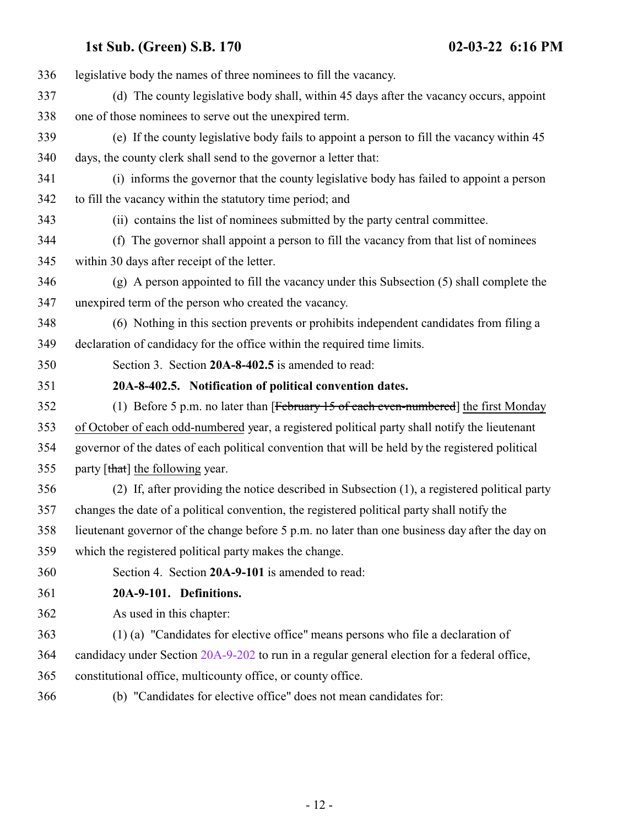<span id="page-11-1"></span><span id="page-11-0"></span> legislative body the names of three nominees to fill the vacancy. (d) The county legislative body shall, within 45 days after the vacancy occurs, appoint one of those nominees to serve out the unexpired term. (e) If the county legislative body fails to appoint a person to fill the vacancy within 45 days, the county clerk shall send to the governor a letter that: (i) informs the governor that the county legislative body has failed to appoint a person to fill the vacancy within the statutory time period; and (ii) contains the list of nominees submitted by the party central committee. (f) The governor shall appoint a person to fill the vacancy from that list of nominees within 30 days after receipt of the letter. (g) A person appointed to fill the vacancy under this Subsection (5) shall complete the unexpired term of the person who created the vacancy. (6) Nothing in this section prevents or prohibits independent candidates from filing a declaration of candidacy for the office within the required time limits. Section 3. Section **20A-8-402.5** is amended to read: **20A-8-402.5. Notification of political convention dates.** 352 (1) Before 5 p.m. no later than [February 15 of each even-numbered] the first Monday of October of each odd-numbered year, a registered political party shall notify the lieutenant governor of the dates of each political convention that will be held by the registered political 355 party  $[\frac{that}{\theta}]$  the following year. (2) If, after providing the notice described in Subsection (1), a registered political party changes the date of a political convention, the registered political party shall notify the lieutenant governor of the change before 5 p.m. no later than one business day after the day on which the registered political party makes the change. Section 4. Section **20A-9-101** is amended to read: **20A-9-101. Definitions.** As used in this chapter: (1) (a) "Candidates for elective office" means persons who file a declaration of candidacy under Section [20A-9-202](http://le.utah.gov/UtahCode/SectionLookup.jsp?section=20a-9-202&session=2022GS) to run in a regular general election for a federal office, constitutional office, multicounty office, or county office. (b) "Candidates for elective office" does not mean candidates for: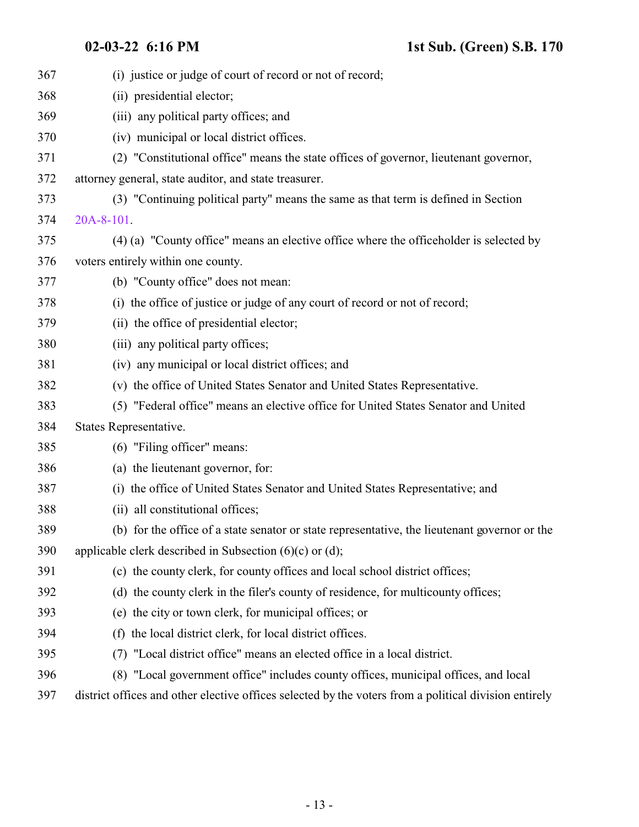| 367 | (i) justice or judge of court of record or not of record;                                             |
|-----|-------------------------------------------------------------------------------------------------------|
| 368 | (ii) presidential elector;                                                                            |
| 369 | (iii) any political party offices; and                                                                |
| 370 | (iv) municipal or local district offices.                                                             |
| 371 | (2) "Constitutional office" means the state offices of governor, lieutenant governor,                 |
| 372 | attorney general, state auditor, and state treasurer.                                                 |
| 373 | (3) "Continuing political party" means the same as that term is defined in Section                    |
| 374 | 20A-8-101.                                                                                            |
| 375 | (4) (a) "County office" means an elective office where the officeholder is selected by                |
| 376 | voters entirely within one county.                                                                    |
| 377 | (b) "County office" does not mean:                                                                    |
| 378 | (i) the office of justice or judge of any court of record or not of record;                           |
| 379 | (ii) the office of presidential elector;                                                              |
| 380 | (iii) any political party offices;                                                                    |
| 381 | (iv) any municipal or local district offices; and                                                     |
| 382 | (v) the office of United States Senator and United States Representative.                             |
| 383 | (5) "Federal office" means an elective office for United States Senator and United                    |
| 384 | States Representative.                                                                                |
| 385 | (6) "Filing officer" means:                                                                           |
| 386 | (a) the lieutenant governor, for:                                                                     |
| 387 | (i) the office of United States Senator and United States Representative; and                         |
| 388 | (ii) all constitutional offices;                                                                      |
| 389 | (b) for the office of a state senator or state representative, the lieutenant governor or the         |
| 390 | applicable clerk described in Subsection $(6)(c)$ or $(d)$ ;                                          |
| 391 | (c) the county clerk, for county offices and local school district offices;                           |
| 392 | (d) the county clerk in the filer's county of residence, for multicounty offices;                     |
| 393 | (e) the city or town clerk, for municipal offices; or                                                 |
| 394 | the local district clerk, for local district offices.<br>(f)                                          |
| 395 | "Local district office" means an elected office in a local district.<br>(7)                           |
| 396 | (8) "Local government office" includes county offices, municipal offices, and local                   |
| 397 | district offices and other elective offices selected by the voters from a political division entirely |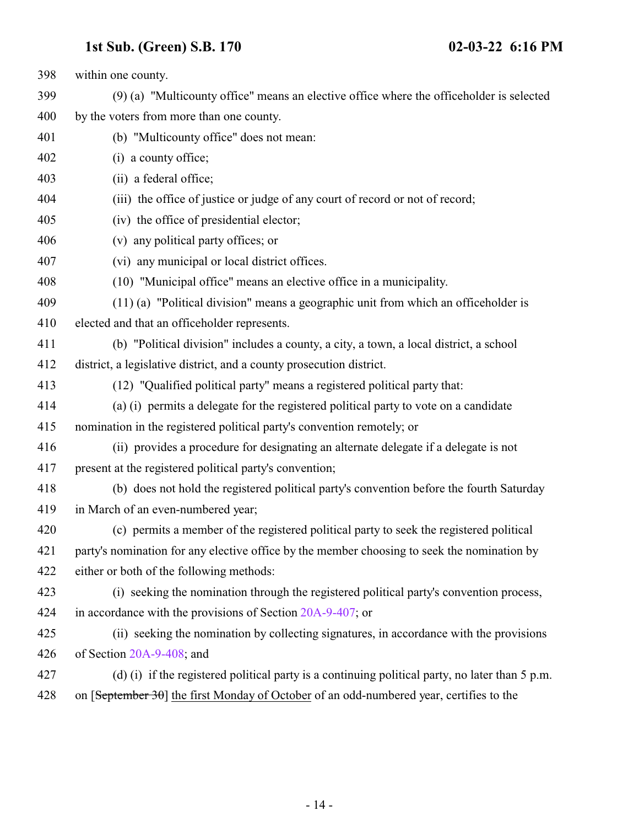within one county. (9) (a) "Multicounty office" means an elective office where the officeholder is selected by the voters from more than one county. (b) "Multicounty office" does not mean: (i) a county office; (ii) a federal office; (iii) the office of justice or judge of any court of record or not of record; (iv) the office of presidential elector; (v) any political party offices; or (vi) any municipal or local district offices. (10) "Municipal office" means an elective office in a municipality. (11) (a) "Political division" means a geographic unit from which an officeholder is elected and that an officeholder represents. (b) "Political division" includes a county, a city, a town, a local district, a school district, a legislative district, and a county prosecution district. (12) "Qualified political party" means a registered political party that: (a) (i) permits a delegate for the registered political party to vote on a candidate nomination in the registered political party's convention remotely; or (ii) provides a procedure for designating an alternate delegate if a delegate is not present at the registered political party's convention; (b) does not hold the registered political party's convention before the fourth Saturday in March of an even-numbered year; (c) permits a member of the registered political party to seek the registered political party's nomination for any elective office by the member choosing to seek the nomination by either or both of the following methods: (i) seeking the nomination through the registered political party's convention process, 424 in accordance with the provisions of Section [20A-9-407](#page-22-0); or (ii) seeking the nomination by collecting signatures, in accordance with the provisions of Section [20A-9-408](#page-24-0); and (d) (i) if the registered political party is a continuing political party, no later than 5 p.m. 428 on [September 30] the first Monday of October of an odd-numbered year, certifies to the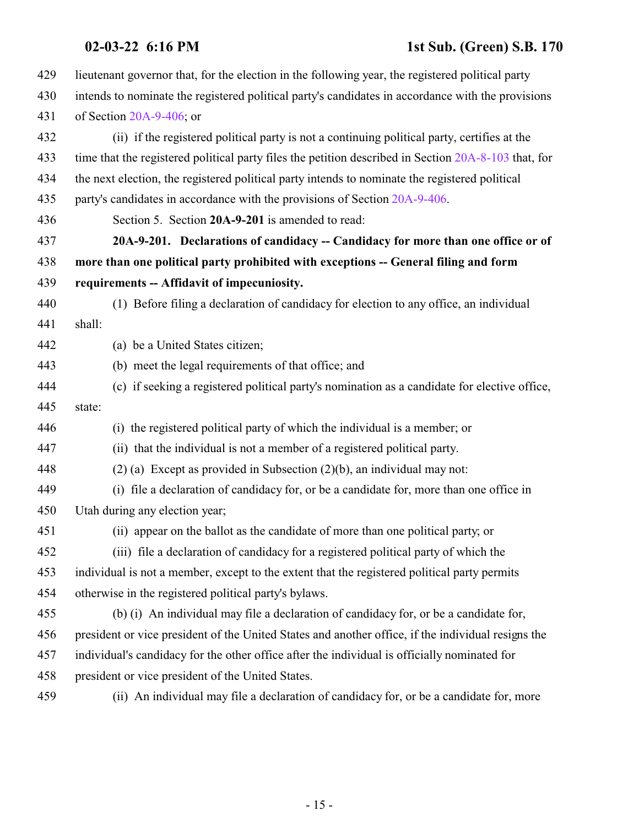<span id="page-14-0"></span>

| 429 | lieutenant governor that, for the election in the following year, the registered political party     |
|-----|------------------------------------------------------------------------------------------------------|
| 430 | intends to nominate the registered political party's candidates in accordance with the provisions    |
| 431 | of Section $20A-9-406$ ; or                                                                          |
| 432 | (ii) if the registered political party is not a continuing political party, certifies at the         |
| 433 | time that the registered political party files the petition described in Section 20A-8-103 that, for |
| 434 | the next election, the registered political party intends to nominate the registered political       |
| 435 | party's candidates in accordance with the provisions of Section 20A-9-406.                           |
| 436 | Section 5. Section 20A-9-201 is amended to read:                                                     |
| 437 | 20A-9-201. Declarations of candidacy -- Candidacy for more than one office or of                     |
| 438 | more than one political party prohibited with exceptions -- General filing and form                  |
| 439 | requirements -- Affidavit of impecuniosity.                                                          |
| 440 | (1) Before filing a declaration of candidacy for election to any office, an individual               |
| 441 | shall:                                                                                               |
| 442 | (a) be a United States citizen;                                                                      |
| 443 | (b) meet the legal requirements of that office; and                                                  |
| 444 | (c) if seeking a registered political party's nomination as a candidate for elective office,         |
| 445 | state:                                                                                               |
| 446 | (i) the registered political party of which the individual is a member; or                           |
| 447 | (ii) that the individual is not a member of a registered political party.                            |
| 448 | $(2)$ (a) Except as provided in Subsection $(2)(b)$ , an individual may not:                         |
| 449 | (i) file a declaration of candidacy for, or be a candidate for, more than one office in              |
| 450 | Utah during any election year;                                                                       |
| 451 | (ii) appear on the ballot as the candidate of more than one political party, or                      |
| 452 | (iii) file a declaration of candidacy for a registered political party of which the                  |
| 453 | individual is not a member, except to the extent that the registered political party permits         |
| 454 | otherwise in the registered political party's bylaws.                                                |
| 455 | (b) (i) An individual may file a declaration of candidacy for, or be a candidate for,                |
| 456 | president or vice president of the United States and another office, if the individual resigns the   |
| 457 | individual's candidacy for the other office after the individual is officially nominated for         |
| 458 | president or vice president of the United States.                                                    |
| 459 | (ii) An individual may file a declaration of candidacy for, or be a candidate for, more              |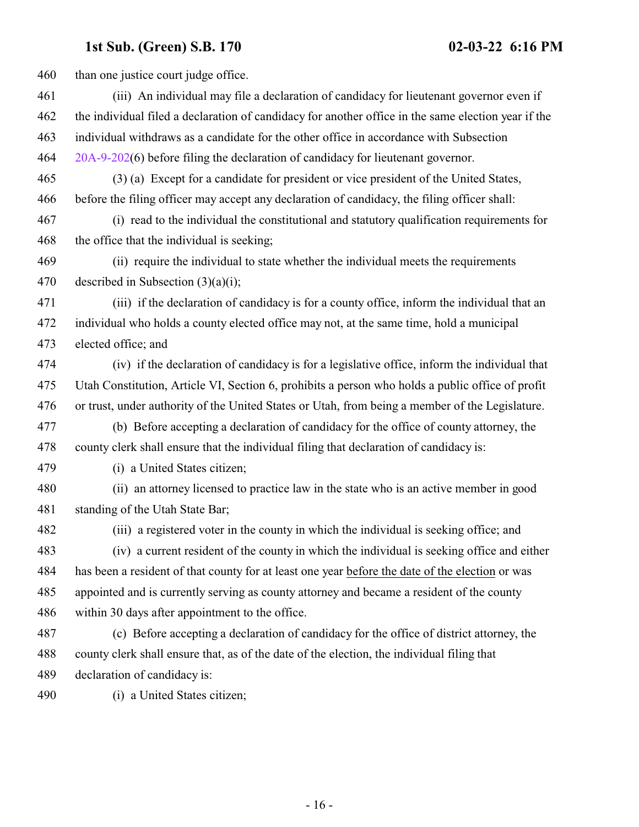460 than one justice court judge office. (iii) An individual may file a declaration of candidacy for lieutenant governor even if the individual filed a declaration of candidacy for another office in the same election year if the individual withdraws as a candidate for the other office in accordance with Subsection [20A-9-202](http://le.utah.gov/UtahCode/SectionLookup.jsp?section=20a-9-202&session=2022GS)(6) before filing the declaration of candidacy for lieutenant governor. (3) (a) Except for a candidate for president or vice president of the United States, before the filing officer may accept any declaration of candidacy, the filing officer shall: (i) read to the individual the constitutional and statutory qualification requirements for the office that the individual is seeking; (ii) require the individual to state whether the individual meets the requirements 470 described in Subsection  $(3)(a)(i)$ ; (iii) if the declaration of candidacy is for a county office, inform the individual that an individual who holds a county elected office may not, at the same time, hold a municipal elected office; and (iv) if the declaration of candidacy is for a legislative office, inform the individual that Utah Constitution, Article VI, Section 6, prohibits a person who holds a public office of profit or trust, under authority of the United States or Utah, from being a member of the Legislature. (b) Before accepting a declaration of candidacy for the office of county attorney, the county clerk shall ensure that the individual filing that declaration of candidacy is: (i) a United States citizen; (ii) an attorney licensed to practice law in the state who is an active member in good standing of the Utah State Bar; (iii) a registered voter in the county in which the individual is seeking office; and (iv) a current resident of the county in which the individual is seeking office and either has been a resident of that county for at least one year before the date of the election or was appointed and is currently serving as county attorney and became a resident of the county within 30 days after appointment to the office. (c) Before accepting a declaration of candidacy for the office of district attorney, the county clerk shall ensure that, as of the date of the election, the individual filing that declaration of candidacy is: (i) a United States citizen;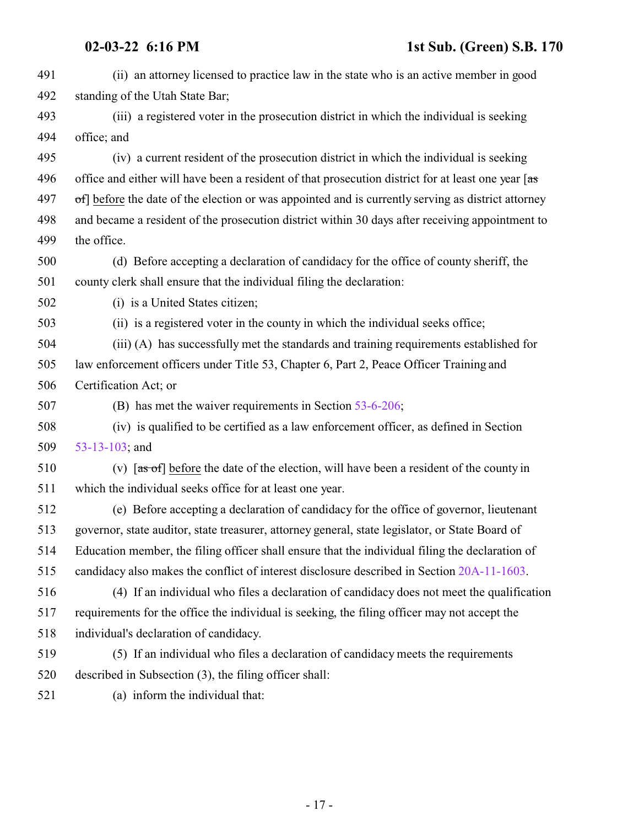(ii) an attorney licensed to practice law in the state who is an active member in good standing of the Utah State Bar; (iii) a registered voter in the prosecution district in which the individual is seeking office; and (iv) a current resident of the prosecution district in which the individual is seeking 496 office and either will have been a resident of that prosecution district for at least one year  $\sqrt{a}$  of before the date of the election or was appointed and is currently serving as district attorney and became a resident of the prosecution district within 30 days after receiving appointment to the office. (d) Before accepting a declaration of candidacy for the office of county sheriff, the county clerk shall ensure that the individual filing the declaration: (i) is a United States citizen; (ii) is a registered voter in the county in which the individual seeks office; (iii) (A) has successfully met the standards and training requirements established for law enforcement officers under Title 53, Chapter 6, Part 2, Peace Officer Training and Certification Act; or (B) has met the waiver requirements in Section [53-6-206](http://le.utah.gov/UtahCode/SectionLookup.jsp?section=53-6-206&session=2022GS); (iv) is qualified to be certified as a law enforcement officer, as defined in Section [53-13-103](http://le.utah.gov/UtahCode/SectionLookup.jsp?section=53-13-103&session=2022GS); and 510 (v)  $\left[ \frac{a}{\text{s of}} \right]$  before the date of the election, will have been a resident of the county in which the individual seeks office for at least one year. (e) Before accepting a declaration of candidacy for the office of governor, lieutenant governor, state auditor, state treasurer, attorney general, state legislator, or State Board of Education member, the filing officer shall ensure that the individual filing the declaration of candidacy also makes the conflict of interest disclosure described in Section [20A-11-1603](http://le.utah.gov/UtahCode/SectionLookup.jsp?section=20a-11-1603&session=2022GS). (4) If an individual who files a declaration of candidacy does not meet the qualification requirements for the office the individual is seeking, the filing officer may not accept the individual's declaration of candidacy. (5) If an individual who files a declaration of candidacy meets the requirements described in Subsection (3), the filing officer shall: (a) inform the individual that: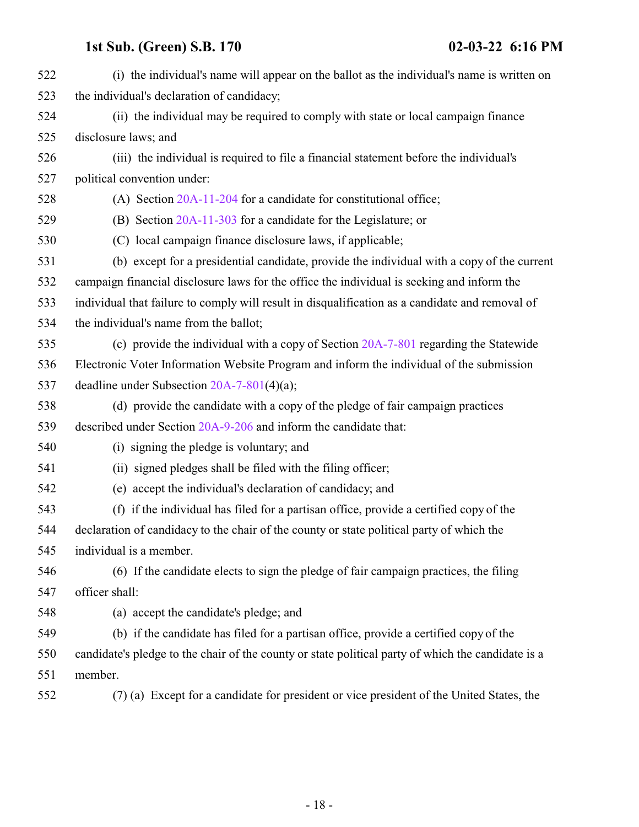| 522 | (i) the individual's name will appear on the ballot as the individual's name is written on         |
|-----|----------------------------------------------------------------------------------------------------|
| 523 | the individual's declaration of candidacy;                                                         |
| 524 | (ii) the individual may be required to comply with state or local campaign finance                 |
| 525 | disclosure laws; and                                                                               |
| 526 | (iii) the individual is required to file a financial statement before the individual's             |
| 527 | political convention under:                                                                        |
| 528 | (A) Section $20A-11-204$ for a candidate for constitutional office;                                |
| 529 | (B) Section 20A-11-303 for a candidate for the Legislature; or                                     |
| 530 | (C) local campaign finance disclosure laws, if applicable;                                         |
| 531 | (b) except for a presidential candidate, provide the individual with a copy of the current         |
| 532 | campaign financial disclosure laws for the office the individual is seeking and inform the         |
| 533 | individual that failure to comply will result in disqualification as a candidate and removal of    |
| 534 | the individual's name from the ballot;                                                             |
| 535 | (c) provide the individual with a copy of Section 20A-7-801 regarding the Statewide                |
| 536 | Electronic Voter Information Website Program and inform the individual of the submission           |
| 537 | deadline under Subsection $20A-7-801(4)(a)$ ;                                                      |
| 538 | (d) provide the candidate with a copy of the pledge of fair campaign practices                     |
| 539 | described under Section 20A-9-206 and inform the candidate that:                                   |
| 540 | (i) signing the pledge is voluntary; and                                                           |
| 541 | (ii) signed pledges shall be filed with the filing officer;                                        |
| 542 | (e) accept the individual's declaration of candidacy; and                                          |
| 543 | (f) if the individual has filed for a partisan office, provide a certified copy of the             |
| 544 | declaration of candidacy to the chair of the county or state political party of which the          |
| 545 | individual is a member.                                                                            |
| 546 | (6) If the candidate elects to sign the pledge of fair campaign practices, the filing              |
| 547 | officer shall:                                                                                     |
| 548 | (a) accept the candidate's pledge; and                                                             |
| 549 | (b) if the candidate has filed for a partisan office, provide a certified copy of the              |
| 550 | candidate's pledge to the chair of the county or state political party of which the candidate is a |
| 551 | member.                                                                                            |
| 552 | (7) (a) Except for a candidate for president or vice president of the United States, the           |
|     |                                                                                                    |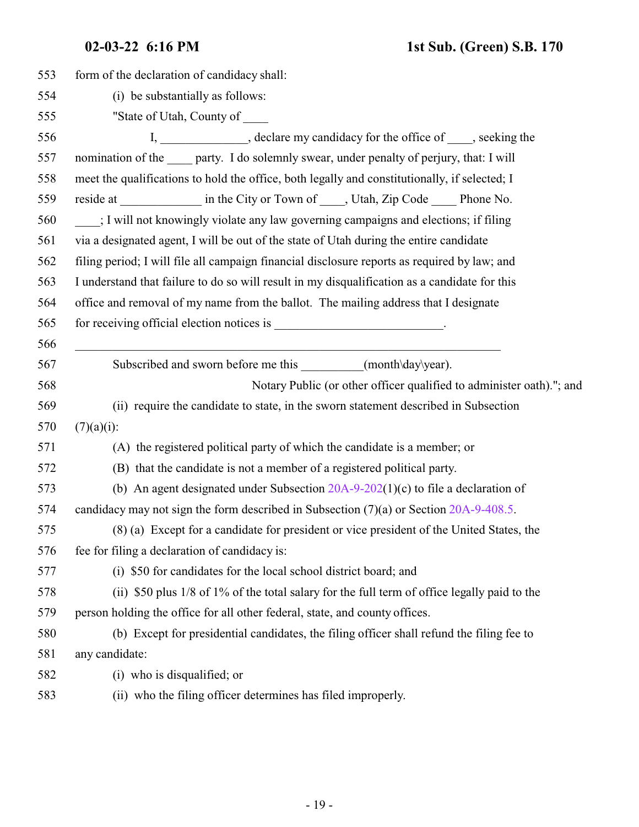| 553 | form of the declaration of candidacy shall:                                                   |
|-----|-----------------------------------------------------------------------------------------------|
| 554 | (i) be substantially as follows:                                                              |
| 555 | "State of Utah, County of                                                                     |
| 556 | I, ______________, declare my candidacy for the office of ____, seeking the                   |
| 557 | nomination of the sample party. I do solemnly swear, under penalty of perjury, that: I will   |
| 558 | meet the qualifications to hold the office, both legally and constitutionally, if selected; I |
| 559 | reside at _______________ in the City or Town of _____, Utah, Zip Code ______ Phone No.       |
| 560 | : I will not knowingly violate any law governing campaigns and elections; if filing           |
| 561 | via a designated agent, I will be out of the state of Utah during the entire candidate        |
| 562 | filing period; I will file all campaign financial disclosure reports as required by law; and  |
| 563 | I understand that failure to do so will result in my disqualification as a candidate for this |
| 564 | office and removal of my name from the ballot. The mailing address that I designate           |
| 565 |                                                                                               |
| 566 |                                                                                               |
| 567 | Subscribed and sworn before me this ___________(month\day\year).                              |
| 568 | Notary Public (or other officer qualified to administer oath)."; and                          |
| 569 | (ii) require the candidate to state, in the sworn statement described in Subsection           |
| 570 | $(7)(a)(i)$ :                                                                                 |
| 571 | (A) the registered political party of which the candidate is a member; or                     |
| 572 | (B) that the candidate is not a member of a registered political party.                       |
| 573 | (b) An agent designated under Subsection $20A-9-202(1)(c)$ to file a declaration of           |
| 574 | candidacy may not sign the form described in Subsection $(7)(a)$ or Section 20A-9-408.5.      |
| 575 | (8) (a) Except for a candidate for president or vice president of the United States, the      |
| 576 | fee for filing a declaration of candidacy is:                                                 |
| 577 | (i) \$50 for candidates for the local school district board; and                              |
| 578 | (ii) \$50 plus 1/8 of 1% of the total salary for the full term of office legally paid to the  |
| 579 | person holding the office for all other federal, state, and county offices.                   |
| 580 | (b) Except for presidential candidates, the filing officer shall refund the filing fee to     |
| 581 | any candidate:                                                                                |
| 582 | (i) who is disqualified; or                                                                   |
| 583 | (ii) who the filing officer determines has filed improperly.                                  |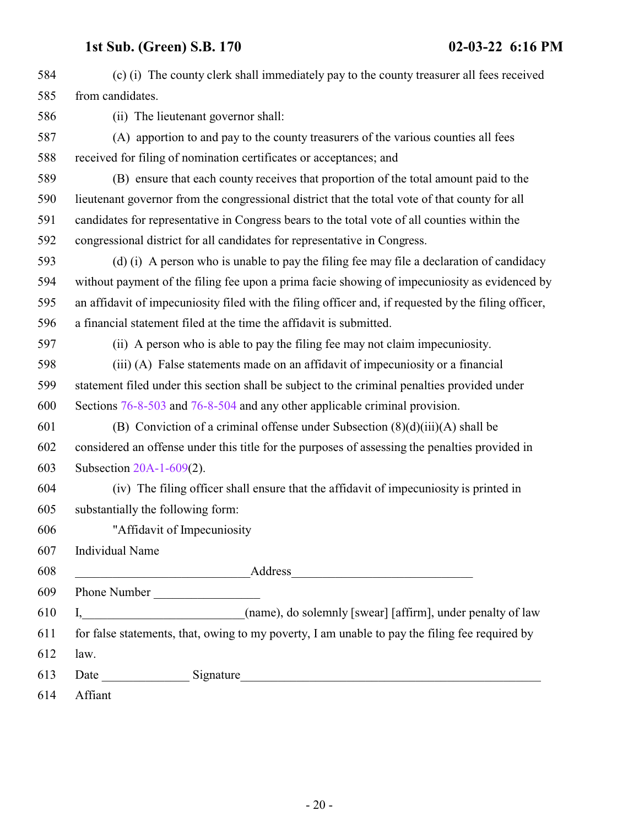| 584 | (c) (i) The county clerk shall immediately pay to the county treasurer all fees received                                                                                                                                       |
|-----|--------------------------------------------------------------------------------------------------------------------------------------------------------------------------------------------------------------------------------|
| 585 | from candidates.                                                                                                                                                                                                               |
| 586 | (ii) The lieutenant governor shall:                                                                                                                                                                                            |
| 587 | (A) apportion to and pay to the county treasurers of the various counties all fees                                                                                                                                             |
| 588 | received for filing of nomination certificates or acceptances; and                                                                                                                                                             |
| 589 | (B) ensure that each county receives that proportion of the total amount paid to the                                                                                                                                           |
| 590 | lieutenant governor from the congressional district that the total vote of that county for all                                                                                                                                 |
| 591 | candidates for representative in Congress bears to the total vote of all counties within the                                                                                                                                   |
| 592 | congressional district for all candidates for representative in Congress.                                                                                                                                                      |
| 593 | (d) (i) A person who is unable to pay the filing fee may file a declaration of candidacy                                                                                                                                       |
| 594 | without payment of the filing fee upon a prima facie showing of impecuniosity as evidenced by                                                                                                                                  |
| 595 | an affidavit of impecuniosity filed with the filing officer and, if requested by the filing officer,                                                                                                                           |
| 596 | a financial statement filed at the time the affidavit is submitted.                                                                                                                                                            |
| 597 | (ii) A person who is able to pay the filing fee may not claim impecuniosity.                                                                                                                                                   |
| 598 | (iii) (A) False statements made on an affidavit of impecuniosity or a financial                                                                                                                                                |
| 599 | statement filed under this section shall be subject to the criminal penalties provided under                                                                                                                                   |
| 600 | Sections 76-8-503 and 76-8-504 and any other applicable criminal provision.                                                                                                                                                    |
| 601 | (B) Conviction of a criminal offense under Subsection $(8)(d)(iii)(A)$ shall be                                                                                                                                                |
| 602 | considered an offense under this title for the purposes of assessing the penalties provided in                                                                                                                                 |
| 603 | Subsection $20A-1-609(2)$ .                                                                                                                                                                                                    |
| 604 | (iv) The filing officer shall ensure that the affidavit of impecuniosity is printed in                                                                                                                                         |
| 605 | substantially the following form:                                                                                                                                                                                              |
| 606 | "Affidavit of Impecuniosity                                                                                                                                                                                                    |
| 607 | Individual Name                                                                                                                                                                                                                |
| 608 | Address Address Address Address Address Address Address Address Address Address Address Address Address Address Address Address Address Address Address Address Address Address Address Address Address Address Address Addres |
| 609 | Phone Number                                                                                                                                                                                                                   |
| 610 | I, (name), do solemnly [swear] [affirm], under penalty of law                                                                                                                                                                  |
| 611 | for false statements, that, owing to my poverty, I am unable to pay the filing fee required by                                                                                                                                 |
| 612 | law.                                                                                                                                                                                                                           |
| 613 |                                                                                                                                                                                                                                |
| 614 | Affiant                                                                                                                                                                                                                        |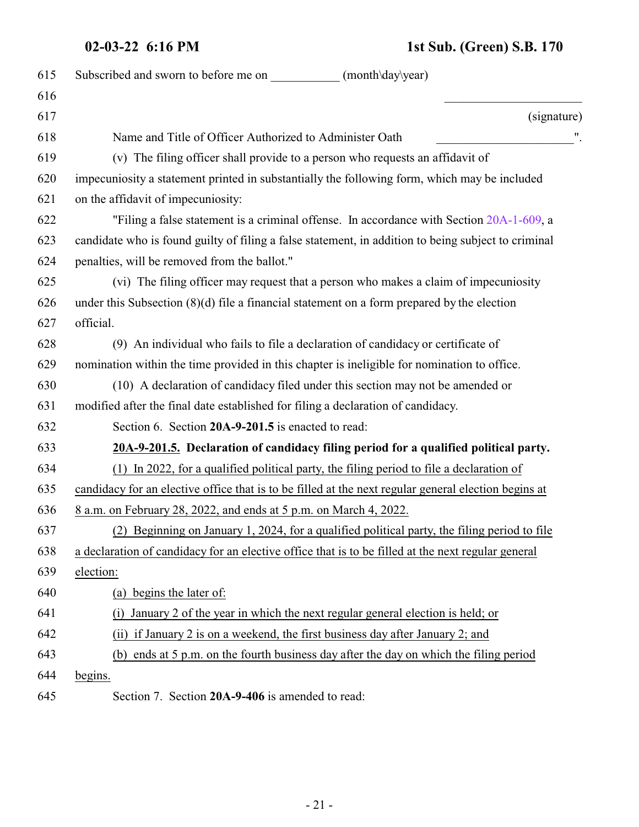## **02-03-22 6:16 PM 1st Sub. (Green) S.B. 170**

<span id="page-20-1"></span><span id="page-20-0"></span>

| 615 | Subscribed and sworn to before me on<br>(month\day\year)                                             |
|-----|------------------------------------------------------------------------------------------------------|
| 616 |                                                                                                      |
| 617 | (signature)                                                                                          |
| 618 | Name and Title of Officer Authorized to Administer Oath                                              |
| 619 | (v) The filing officer shall provide to a person who requests an affidavit of                        |
| 620 | impecuniosity a statement printed in substantially the following form, which may be included         |
| 621 | on the affidavit of impecuniosity:                                                                   |
| 622 | "Filing a false statement is a criminal offense. In accordance with Section 20A-1-609, a             |
| 623 | candidate who is found guilty of filing a false statement, in addition to being subject to criminal  |
| 624 | penalties, will be removed from the ballot."                                                         |
| 625 | (vi) The filing officer may request that a person who makes a claim of impecuniosity                 |
| 626 | under this Subsection $(8)(d)$ file a financial statement on a form prepared by the election         |
| 627 | official.                                                                                            |
| 628 | (9) An individual who fails to file a declaration of candidacy or certificate of                     |
| 629 | nomination within the time provided in this chapter is ineligible for nomination to office.          |
| 630 | (10) A declaration of candidacy filed under this section may not be amended or                       |
| 631 | modified after the final date established for filing a declaration of candidacy.                     |
| 632 | Section 6. Section 20A-9-201.5 is enacted to read:                                                   |
| 633 | 20A-9-201.5. Declaration of candidacy filing period for a qualified political party.                 |
| 634 | In 2022, for a qualified political party, the filing period to file a declaration of<br>(1)          |
| 635 | candidacy for an elective office that is to be filled at the next regular general election begins at |
| 636 | <u>8 a.m. on February 28, 2022, and ends at 5 p.m. on March 4, 2022.</u>                             |
| 637 | (2) Beginning on January 1, 2024, for a qualified political party, the filing period to file         |
| 638 | a declaration of candidacy for an elective office that is to be filled at the next regular general   |
| 639 | election:                                                                                            |
| 640 | (a) begins the later of:                                                                             |
| 641 | January 2 of the year in which the next regular general election is held; or<br>(1)                  |
| 642 | (ii) if January 2 is on a weekend, the first business day after January 2; and                       |
| 643 | (b) ends at 5 p.m. on the fourth business day after the day on which the filing period               |
| 644 | begins.                                                                                              |
| 645 | Section 7. Section 20A-9-406 is amended to read:                                                     |
|     |                                                                                                      |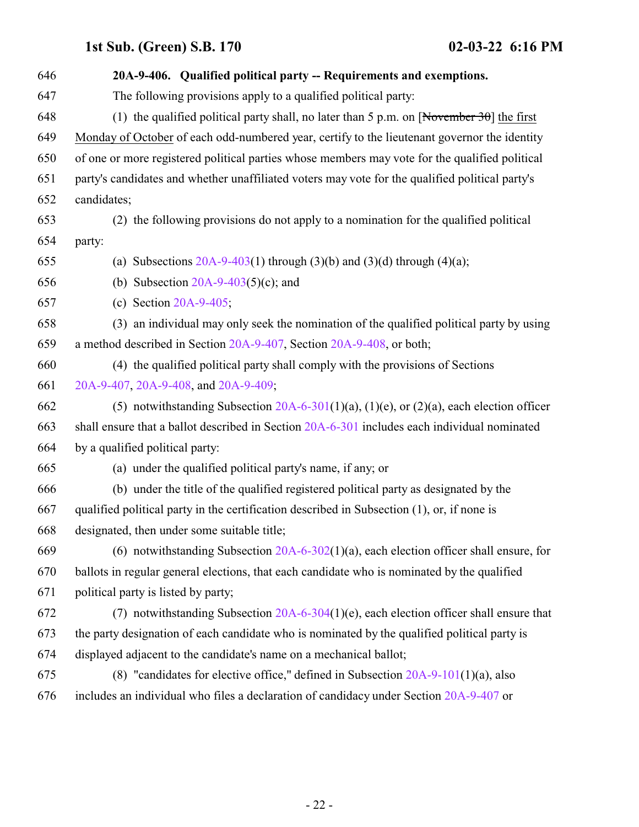| 646 | 20A-9-406. Qualified political party -- Requirements and exemptions.                                   |
|-----|--------------------------------------------------------------------------------------------------------|
| 647 | The following provisions apply to a qualified political party:                                         |
| 648 | (1) the qualified political party shall, no later than 5 p.m. on $\sqrt{\text{November 30}}$ the first |
| 649 | Monday of October of each odd-numbered year, certify to the lieutenant governor the identity           |
| 650 | of one or more registered political parties whose members may vote for the qualified political         |
| 651 | party's candidates and whether unaffiliated voters may vote for the qualified political party's        |
| 652 | candidates;                                                                                            |
| 653 | (2) the following provisions do not apply to a nomination for the qualified political                  |
| 654 | party:                                                                                                 |
| 655 | (a) Subsections $20A-9-403(1)$ through $(3)(b)$ and $(3)(d)$ through $(4)(a)$ ;                        |
| 656 | (b) Subsection $20A-9-403(5)(c)$ ; and                                                                 |
| 657 | (c) Section $20A-9-405$ ;                                                                              |
| 658 | (3) an individual may only seek the nomination of the qualified political party by using               |
| 659 | a method described in Section 20A-9-407, Section 20A-9-408, or both;                                   |
| 660 | (4) the qualified political party shall comply with the provisions of Sections                         |
| 661 | 20A-9-407, 20A-9-408, and 20A-9-409;                                                                   |
| 662 | (5) notwithstanding Subsection $20A-6-301(1)(a)$ , (1)(e), or (2)(a), each election officer            |
| 663 | shall ensure that a ballot described in Section 20A-6-301 includes each individual nominated           |
| 664 | by a qualified political party:                                                                        |
| 665 | (a) under the qualified political party's name, if any; or                                             |
| 666 | (b) under the title of the qualified registered political party as designated by the                   |
| 667 | qualified political party in the certification described in Subsection (1), or, if none is             |
| 668 | designated, then under some suitable title;                                                            |
| 669 | (6) notwithstanding Subsection $20A-6-302(1)(a)$ , each election officer shall ensure, for             |
| 670 | ballots in regular general elections, that each candidate who is nominated by the qualified            |
| 671 | political party is listed by party;                                                                    |
| 672 | (7) notwithstanding Subsection $20A-6-304(1)(e)$ , each election officer shall ensure that             |
| 673 | the party designation of each candidate who is nominated by the qualified political party is           |
| 674 | displayed adjacent to the candidate's name on a mechanical ballot;                                     |
| 675 | (8) "candidates for elective office," defined in Subsection $20A-9-101(1)(a)$ , also                   |
| 676 | includes an individual who files a declaration of candidacy under Section 20A-9-407 or                 |
|     |                                                                                                        |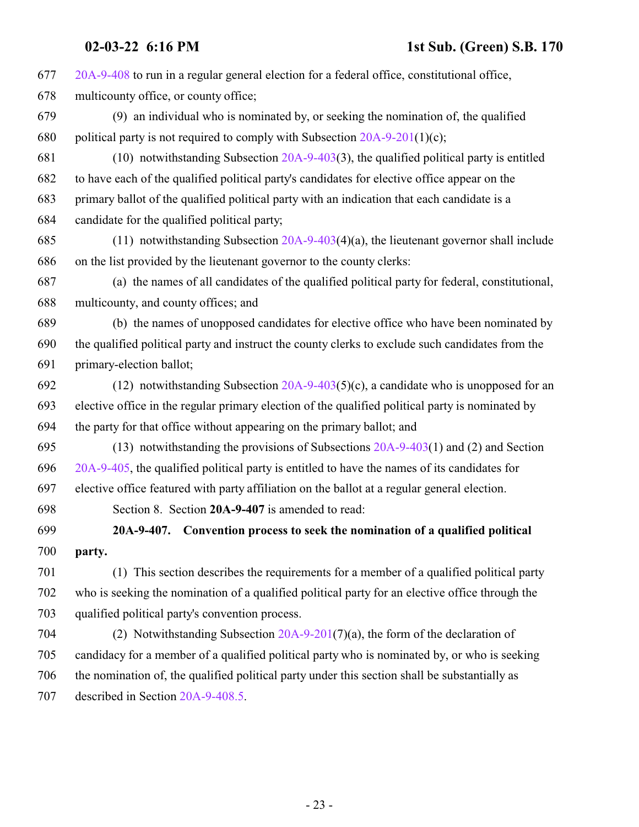<span id="page-22-0"></span>

| 677 | 20A-9-408 to run in a regular general election for a federal office, constitutional office,      |
|-----|--------------------------------------------------------------------------------------------------|
| 678 | multicounty office, or county office;                                                            |
| 679 | (9) an individual who is nominated by, or seeking the nomination of, the qualified               |
| 680 | political party is not required to comply with Subsection $20A-9-201(1)(c)$ ;                    |
| 681 | $(10)$ notwithstanding Subsection 20A-9-403(3), the qualified political party is entitled        |
| 682 | to have each of the qualified political party's candidates for elective office appear on the     |
| 683 | primary ballot of the qualified political party with an indication that each candidate is a      |
| 684 | candidate for the qualified political party;                                                     |
| 685 | (11) notwithstanding Subsection $20A-9-403(4)(a)$ , the lieutenant governor shall include        |
| 686 | on the list provided by the lieutenant governor to the county clerks:                            |
| 687 | (a) the names of all candidates of the qualified political party for federal, constitutional,    |
| 688 | multicounty, and county offices; and                                                             |
| 689 | (b) the names of unopposed candidates for elective office who have been nominated by             |
| 690 | the qualified political party and instruct the county clerks to exclude such candidates from the |
| 691 | primary-election ballot;                                                                         |
| 692 | (12) notwithstanding Subsection $20A-9-403(5)(c)$ , a candidate who is unopposed for an          |
| 693 | elective office in the regular primary election of the qualified political party is nominated by |
| 694 | the party for that office without appearing on the primary ballot; and                           |
| 695 | (13) notwithstanding the provisions of Subsections $20A-9-403(1)$ and (2) and Section            |
| 696 | 20A-9-405, the qualified political party is entitled to have the names of its candidates for     |
| 697 | elective office featured with party affiliation on the ballot at a regular general election.     |
| 698 | Section 8. Section 20A-9-407 is amended to read:                                                 |
| 699 | 20A-9-407. Convention process to seek the nomination of a qualified political                    |
| 700 | party.                                                                                           |
| 701 | (1) This section describes the requirements for a member of a qualified political party          |
| 702 | who is seeking the nomination of a qualified political party for an elective office through the  |
| 703 | qualified political party's convention process.                                                  |
| 704 | (2) Notwithstanding Subsection $20A-9-201(7)(a)$ , the form of the declaration of                |
| 705 | candidacy for a member of a qualified political party who is nominated by, or who is seeking     |
| 706 | the nomination of, the qualified political party under this section shall be substantially as    |
| 707 | described in Section 20A-9-408.5.                                                                |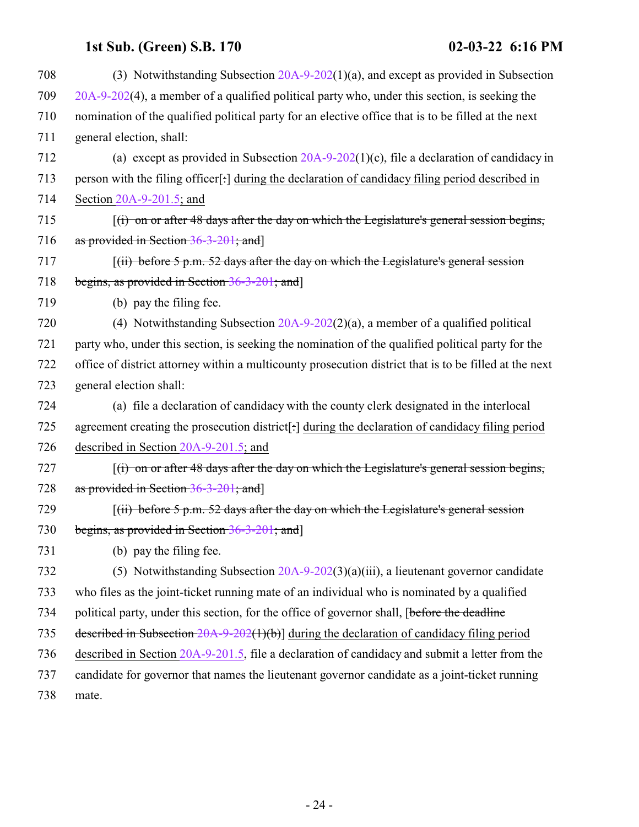| 708 | (3) Notwithstanding Subsection $20A-9-202(1)(a)$ , and except as provided in Subsection                |
|-----|--------------------------------------------------------------------------------------------------------|
| 709 | $20A-9-202(4)$ , a member of a qualified political party who, under this section, is seeking the       |
| 710 | nomination of the qualified political party for an elective office that is to be filled at the next    |
| 711 | general election, shall:                                                                               |
| 712 | (a) except as provided in Subsection $20A-9-202(1)(c)$ , file a declaration of candidacy in            |
| 713 | person with the filing officer[:] during the declaration of candidacy filing period described in       |
| 714 | Section 20A-9-201.5; and                                                                               |
| 715 | $\lceil$ (i) on or after 48 days after the day on which the Legislature's general session begins,      |
| 716 | as provided in Section $36-3-201$ ; and                                                                |
| 717 | $(iii)$ before 5 p.m. 52 days after the day on which the Legislature's general session                 |
| 718 | begins, as provided in Section 36-3-201; and                                                           |
| 719 | (b) pay the filing fee.                                                                                |
| 720 | (4) Notwithstanding Subsection $20A-9-202(2)(a)$ , a member of a qualified political                   |
| 721 | party who, under this section, is seeking the nomination of the qualified political party for the      |
| 722 | office of district attorney within a multicounty prosecution district that is to be filled at the next |
| 723 | general election shall:                                                                                |
| 724 | (a) file a declaration of candidacy with the county clerk designated in the interlocal                 |
| 725 | agreement creating the prosecution district[:] during the declaration of candidacy filing period       |
| 726 | described in Section $20A-9-201.5$ ; and                                                               |
| 727 | $f(t)$ on or after 48 days after the day on which the Legislature's general session begins,            |
| 728 | as provided in Section 36-3-201; and]                                                                  |
| 729 | $(iii)$ before 5 p.m. 52 days after the day on which the Legislature's general session                 |
| 730 | begins, as provided in Section 36-3-201; and                                                           |
| 731 | (b) pay the filing fee.                                                                                |
| 732 | (5) Notwithstanding Subsection $20A-9-202(3)(a)(iii)$ , a lieutenant governor candidate                |
| 733 | who files as the joint-ticket running mate of an individual who is nominated by a qualified            |
| 734 | political party, under this section, for the office of governor shall, [before the deadline            |
| 735 | described in Subsection $20A-9-202(1)(b)$ during the declaration of candidacy filing period            |
| 736 | described in Section 20A-9-201.5, file a declaration of candidacy and submit a letter from the         |
| 737 | candidate for governor that names the lieutenant governor candidate as a joint-ticket running          |
| 738 | mate.                                                                                                  |
|     |                                                                                                        |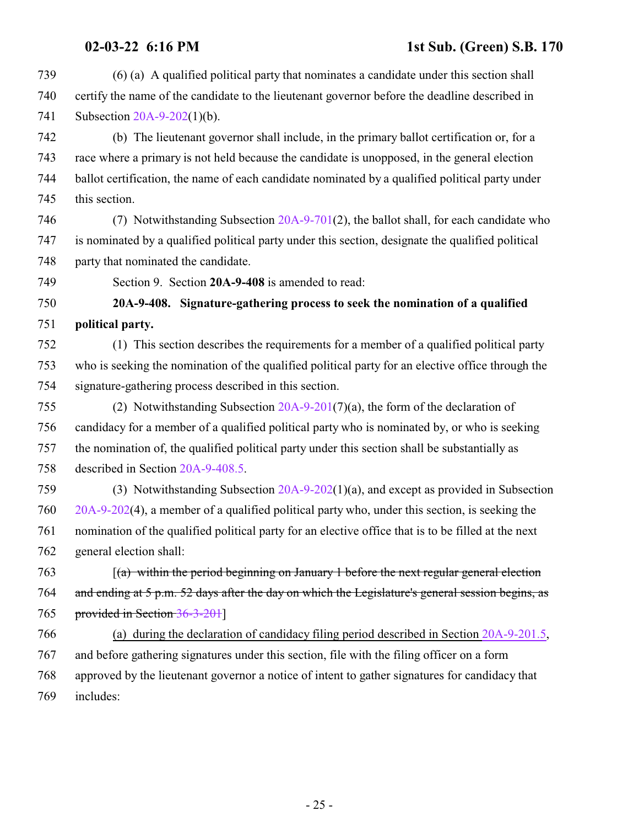- (6) (a) A qualified political party that nominates a candidate under this section shall certify the name of the candidate to the lieutenant governor before the deadline described in Subsection [20A-9-202](http://le.utah.gov/UtahCode/SectionLookup.jsp?section=20a-9-202&session=2022GS)(1)(b).
- (b) The lieutenant governor shall include, in the primary ballot certification or, for a race where a primary is not held because the candidate is unopposed, in the general election ballot certification, the name of each candidate nominated by a qualified political party under this section.
- (7) Notwithstanding Subsection [20A-9-701](http://le.utah.gov/UtahCode/SectionLookup.jsp?section=20a-9-701&session=2022GS)(2), the ballot shall, for each candidate who is nominated by a qualified political party under this section, designate the qualified political 748 party that nominated the candidate.
- <span id="page-24-0"></span>Section 9. Section **20A-9-408** is amended to read:

### **20A-9-408. Signature-gathering process to seek the nomination of a qualified political party.**

- (1) This section describes the requirements for a member of a qualified political party who is seeking the nomination of the qualified political party for an elective office through the signature-gathering process described in this section.
- (2) Notwithstanding Subsection [20A-9-201](#page-14-0)(7)(a), the form of the declaration of candidacy for a member of a qualified political party who is nominated by, or who is seeking the nomination of, the qualified political party under this section shall be substantially as described in Section [20A-9-408.5](http://le.utah.gov/UtahCode/SectionLookup.jsp?section=20a-9-408.5&session=2022GS).
- (3) Notwithstanding Subsection [20A-9-202](http://le.utah.gov/UtahCode/SectionLookup.jsp?section=20a-9-202&session=2022GS)(1)(a), and except as provided in Subsection [20A-9-202](http://le.utah.gov/UtahCode/SectionLookup.jsp?section=20a-9-202&session=2022GS)(4), a member of a qualified political party who, under this section, is seeking the nomination of the qualified political party for an elective office that is to be filled at the next general election shall:
- [(a) within the period beginning on January 1 before the next regular general election and ending at 5 p.m. 52 days after the day on which the Legislature's general session begins, as provided in Section [36-3-201](http://le.utah.gov/UtahCode/SectionLookup.jsp?section=36-3-201&session=2022GS)]
- (a) during the declaration of candidacy filing period described in Section [20A-9-201.5](#page-20-1), and before gathering signatures under this section, file with the filing officer on a form approved by the lieutenant governor a notice of intent to gather signatures for candidacy that includes: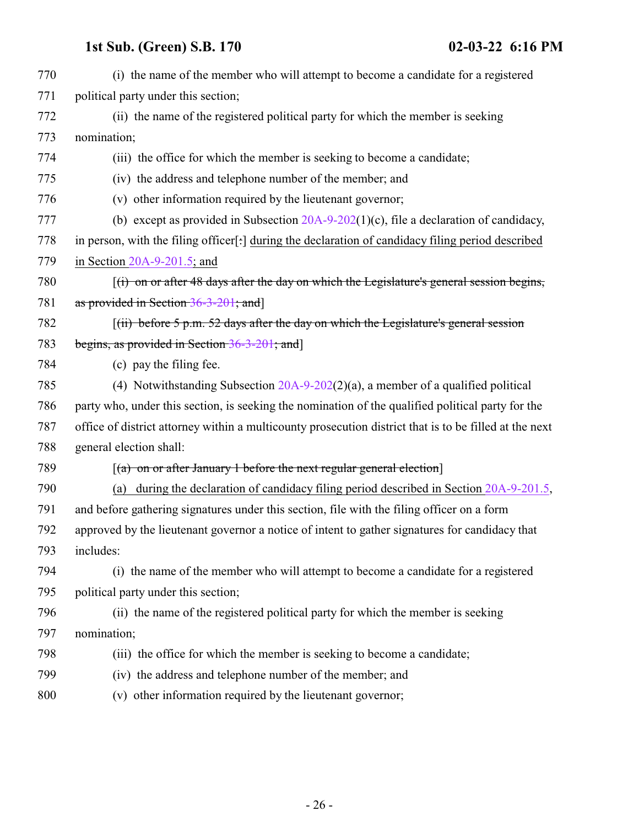| 770 | (i) the name of the member who will attempt to become a candidate for a registered                     |
|-----|--------------------------------------------------------------------------------------------------------|
| 771 | political party under this section;                                                                    |
| 772 | (ii) the name of the registered political party for which the member is seeking                        |
| 773 | nomination;                                                                                            |
| 774 | (iii) the office for which the member is seeking to become a candidate;                                |
| 775 | (iv) the address and telephone number of the member; and                                               |
| 776 | (v) other information required by the lieutenant governor;                                             |
| 777 | (b) except as provided in Subsection $20A-9-202(1)(c)$ , file a declaration of candidacy,              |
| 778 | in person, with the filing officer[:] during the declaration of candidacy filing period described      |
| 779 | in Section $20A-9-201.5$ ; and                                                                         |
| 780 | $(i)$ on or after 48 days after the day on which the Legislature's general session begins,             |
| 781 | as provided in Section 36-3-201; and                                                                   |
| 782 | $(iii)$ before 5 p.m. 52 days after the day on which the Legislature's general session                 |
| 783 | begins, as provided in Section $36-3-201$ ; and                                                        |
| 784 | (c) pay the filing fee.                                                                                |
| 785 | (4) Notwithstanding Subsection $20A-9-202(2)(a)$ , a member of a qualified political                   |
| 786 | party who, under this section, is seeking the nomination of the qualified political party for the      |
| 787 | office of district attorney within a multicounty prosecution district that is to be filled at the next |
| 788 | general election shall:                                                                                |
| 789 | $\lceil$ (a) on or after January 1 before the next regular general election                            |
| 790 | during the declaration of candidacy filing period described in Section 20A-9-201.5,<br>(a)             |
| 791 | and before gathering signatures under this section, file with the filing officer on a form             |
| 792 | approved by the lieutenant governor a notice of intent to gather signatures for candidacy that         |
| 793 | includes:                                                                                              |
| 794 | (i) the name of the member who will attempt to become a candidate for a registered                     |
| 795 | political party under this section;                                                                    |
| 796 | (ii) the name of the registered political party for which the member is seeking                        |
| 797 | nomination;                                                                                            |
| 798 | (iii) the office for which the member is seeking to become a candidate;                                |
| 799 | (iv) the address and telephone number of the member; and                                               |
| 800 | (v) other information required by the lieutenant governor;                                             |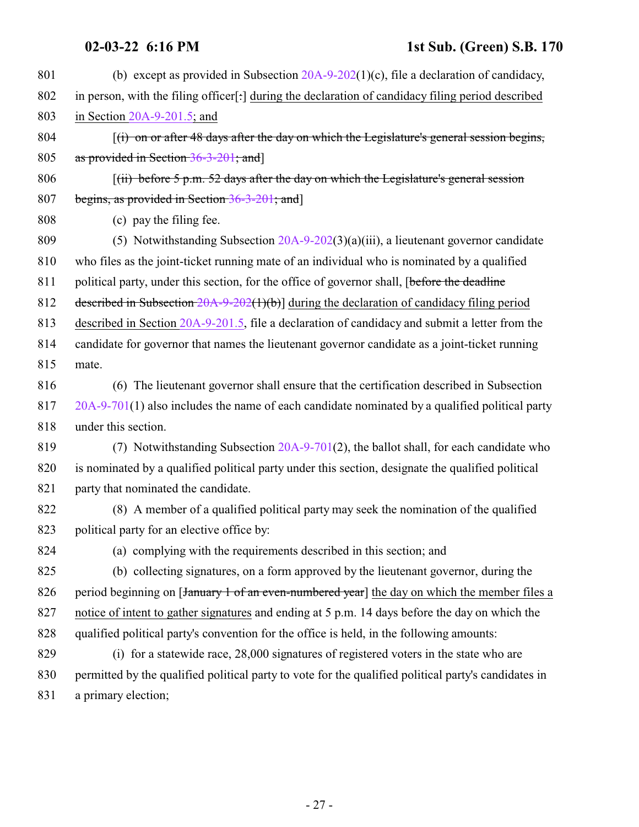| 801 | (b) except as provided in Subsection $20A-9-202(1)(c)$ , file a declaration of candidacy,            |
|-----|------------------------------------------------------------------------------------------------------|
| 802 | in person, with the filing officer[:] during the declaration of candidacy filing period described    |
| 803 | in Section $20A-9-201.5$ ; and                                                                       |
| 804 | $(i)$ on or after 48 days after the day on which the Legislature's general session begins,           |
| 805 | as provided in Section 36-3-201; and]                                                                |
| 806 | $\lceil$ (ii) before 5 p.m. 52 days after the day on which the Legislature's general session         |
| 807 | begins, as provided in Section 36-3-201; and                                                         |
| 808 | (c) pay the filing fee.                                                                              |
| 809 | (5) Notwithstanding Subsection $20A-9-202(3)(a)(iii)$ , a lieutenant governor candidate              |
| 810 | who files as the joint-ticket running mate of an individual who is nominated by a qualified          |
| 811 | political party, under this section, for the office of governor shall, [before the deadline          |
| 812 | described in Subsection $20A-9-202(1)(b)$ during the declaration of candidacy filing period          |
| 813 | described in Section 20A-9-201.5, file a declaration of candidacy and submit a letter from the       |
| 814 | candidate for governor that names the lieutenant governor candidate as a joint-ticket running        |
| 815 | mate.                                                                                                |
| 816 | (6) The lieutenant governor shall ensure that the certification described in Subsection              |
| 817 | $20A-9-701(1)$ also includes the name of each candidate nominated by a qualified political party     |
| 818 | under this section.                                                                                  |
| 819 | (7) Notwithstanding Subsection 20A-9-701(2), the ballot shall, for each candidate who                |
| 820 | is nominated by a qualified political party under this section, designate the qualified political    |
| 821 | party that nominated the candidate.                                                                  |
| 822 | (8) A member of a qualified political party may seek the nomination of the qualified                 |
| 823 | political party for an elective office by:                                                           |
| 824 | (a) complying with the requirements described in this section; and                                   |
| 825 | (b) collecting signatures, on a form approved by the lieutenant governor, during the                 |
| 826 | period beginning on [January 1 of an even-numbered year] the day on which the member files a         |
| 827 | notice of intent to gather signatures and ending at 5 p.m. 14 days before the day on which the       |
| 828 | qualified political party's convention for the office is held, in the following amounts:             |
| 829 | (i) for a statewide race, 28,000 signatures of registered voters in the state who are                |
| 830 | permitted by the qualified political party to vote for the qualified political party's candidates in |
| 831 | a primary election;                                                                                  |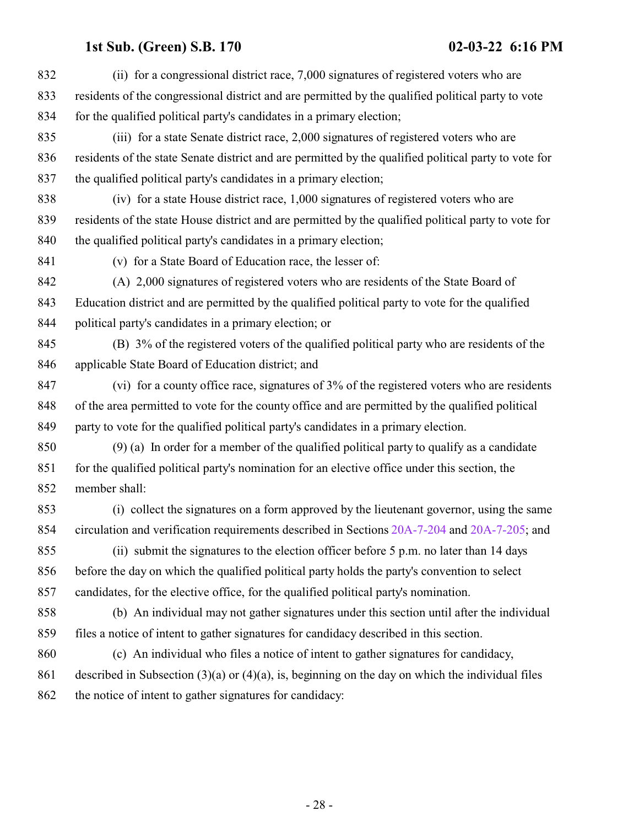| 832 | (ii) for a congressional district race, 7,000 signatures of registered voters who are                 |
|-----|-------------------------------------------------------------------------------------------------------|
| 833 | residents of the congressional district and are permitted by the qualified political party to vote    |
| 834 | for the qualified political party's candidates in a primary election;                                 |
| 835 | (iii) for a state Senate district race, 2,000 signatures of registered voters who are                 |
| 836 | residents of the state Senate district and are permitted by the qualified political party to vote for |
| 837 | the qualified political party's candidates in a primary election;                                     |
| 838 | (iv) for a state House district race, 1,000 signatures of registered voters who are                   |
| 839 | residents of the state House district and are permitted by the qualified political party to vote for  |
| 840 | the qualified political party's candidates in a primary election;                                     |
| 841 | (v) for a State Board of Education race, the lesser of:                                               |
| 842 | (A) 2,000 signatures of registered voters who are residents of the State Board of                     |
| 843 | Education district and are permitted by the qualified political party to vote for the qualified       |
| 844 | political party's candidates in a primary election; or                                                |
| 845 | (B) 3% of the registered voters of the qualified political party who are residents of the             |
| 846 | applicable State Board of Education district; and                                                     |
| 847 | (vi) for a county office race, signatures of 3% of the registered voters who are residents            |
| 848 | of the area permitted to vote for the county office and are permitted by the qualified political      |
| 849 | party to vote for the qualified political party's candidates in a primary election.                   |
| 850 | $(9)$ (a) In order for a member of the qualified political party to qualify as a candidate            |
| 851 | for the qualified political party's nomination for an elective office under this section, the         |
| 852 | member shall:                                                                                         |
| 853 | (i) collect the signatures on a form approved by the lieutenant governor, using the same              |
| 854 | circulation and verification requirements described in Sections 20A-7-204 and 20A-7-205; and          |
| 855 | (ii) submit the signatures to the election officer before 5 p.m. no later than 14 days                |
| 856 | before the day on which the qualified political party holds the party's convention to select          |
| 857 | candidates, for the elective office, for the qualified political party's nomination.                  |
| 858 | (b) An individual may not gather signatures under this section until after the individual             |
| 859 | files a notice of intent to gather signatures for candidacy described in this section.                |
| 860 | (c) An individual who files a notice of intent to gather signatures for candidacy,                    |
| 861 | described in Subsection $(3)(a)$ or $(4)(a)$ , is, beginning on the day on which the individual files |
| 862 | the notice of intent to gather signatures for candidacy:                                              |
|     |                                                                                                       |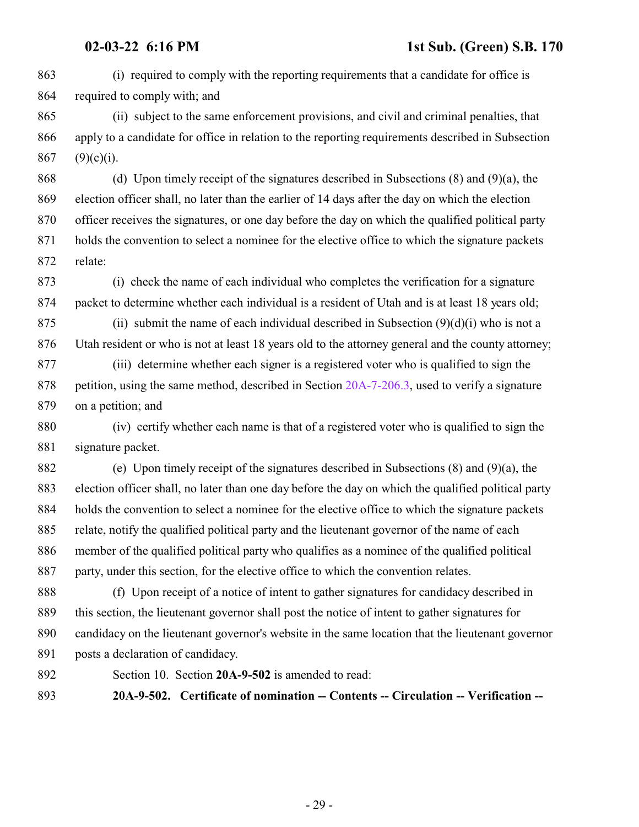(i) required to comply with the reporting requirements that a candidate for office is required to comply with; and

 (ii) subject to the same enforcement provisions, and civil and criminal penalties, that apply to a candidate for office in relation to the reporting requirements described in Subsection 867 (9)(c)(i).

 (d) Upon timely receipt of the signatures described in Subsections (8) and (9)(a), the election officer shall, no later than the earlier of 14 days after the day on which the election officer receives the signatures, or one day before the day on which the qualified political party holds the convention to select a nominee for the elective office to which the signature packets relate:

 (i) check the name of each individual who completes the verification for a signature packet to determine whether each individual is a resident of Utah and is at least 18 years old;

875 (ii) submit the name of each individual described in Subsection  $(9)(d)(i)$  who is not a Utah resident or who is not at least 18 years old to the attorney general and the county attorney;

 (iii) determine whether each signer is a registered voter who is qualified to sign the petition, using the same method, described in Section [20A-7-206.3](http://le.utah.gov/UtahCode/SectionLookup.jsp?section=20a-7-206.3&session=2022GS), used to verify a signature on a petition; and

 (iv) certify whether each name is that of a registered voter who is qualified to sign the signature packet.

 (e) Upon timely receipt of the signatures described in Subsections (8) and (9)(a), the election officer shall, no later than one day before the day on which the qualified political party holds the convention to select a nominee for the elective office to which the signature packets relate, notify the qualified political party and the lieutenant governor of the name of each member of the qualified political party who qualifies as a nominee of the qualified political party, under this section, for the elective office to which the convention relates.

 (f) Upon receipt of a notice of intent to gather signatures for candidacy described in this section, the lieutenant governor shall post the notice of intent to gather signatures for candidacy on the lieutenant governor's website in the same location that the lieutenant governor posts a declaration of candidacy.

<span id="page-28-0"></span>

Section 10. Section **20A-9-502** is amended to read:

**20A-9-502. Certificate of nomination -- Contents -- Circulation -- Verification --**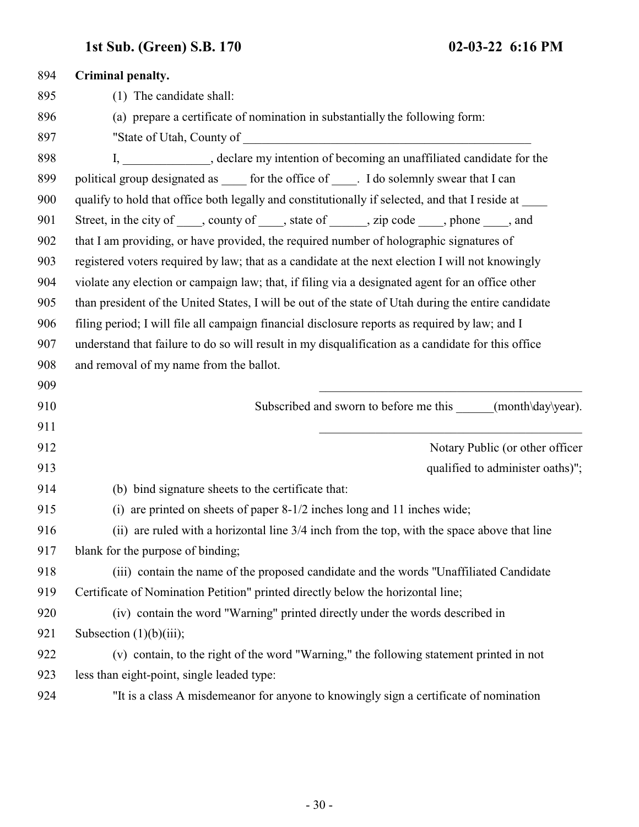| 894 | Criminal penalty.                                                                                   |
|-----|-----------------------------------------------------------------------------------------------------|
| 895 | (1) The candidate shall:                                                                            |
| 896 | (a) prepare a certificate of nomination in substantially the following form:                        |
| 897 |                                                                                                     |
| 898 | I, _____________, declare my intention of becoming an unaffiliated candidate for the                |
| 899 | political group designated as ______ for the office of ______. I do solemnly swear that I can       |
| 900 | qualify to hold that office both legally and constitutionally if selected, and that I reside at     |
| 901 | Street, in the city of _____, county of _____, state of ______, zip code ____, phone ____, and      |
| 902 | that I am providing, or have provided, the required number of holographic signatures of             |
| 903 | registered voters required by law; that as a candidate at the next election I will not knowingly    |
| 904 | violate any election or campaign law; that, if filing via a designated agent for an office other    |
| 905 | than president of the United States, I will be out of the state of Utah during the entire candidate |
| 906 | filing period; I will file all campaign financial disclosure reports as required by law; and I      |
| 907 | understand that failure to do so will result in my disqualification as a candidate for this office  |
| 908 | and removal of my name from the ballot.                                                             |
| 909 |                                                                                                     |
| 910 | Subscribed and sworn to before me this ______(month\day\year).                                      |
| 911 |                                                                                                     |
| 912 | Notary Public (or other officer                                                                     |
| 913 | qualified to administer oaths)";                                                                    |
| 914 | (b) bind signature sheets to the certificate that:                                                  |
| 915 | (i) are printed on sheets of paper 8-1/2 inches long and 11 inches wide;                            |
| 916 | (ii) are ruled with a horizontal line 3/4 inch from the top, with the space above that line         |
| 917 | blank for the purpose of binding;                                                                   |
| 918 | (iii) contain the name of the proposed candidate and the words "Unaffiliated Candidate"             |
| 919 | Certificate of Nomination Petition" printed directly below the horizontal line;                     |
| 920 | (iv) contain the word "Warning" printed directly under the words described in                       |
| 921 | Subsection $(1)(b)(iii)$ ;                                                                          |
| 922 | (v) contain, to the right of the word "Warning," the following statement printed in not             |
| 923 | less than eight-point, single leaded type:                                                          |
| 924 | "It is a class A misdemeanor for anyone to knowingly sign a certificate of nomination               |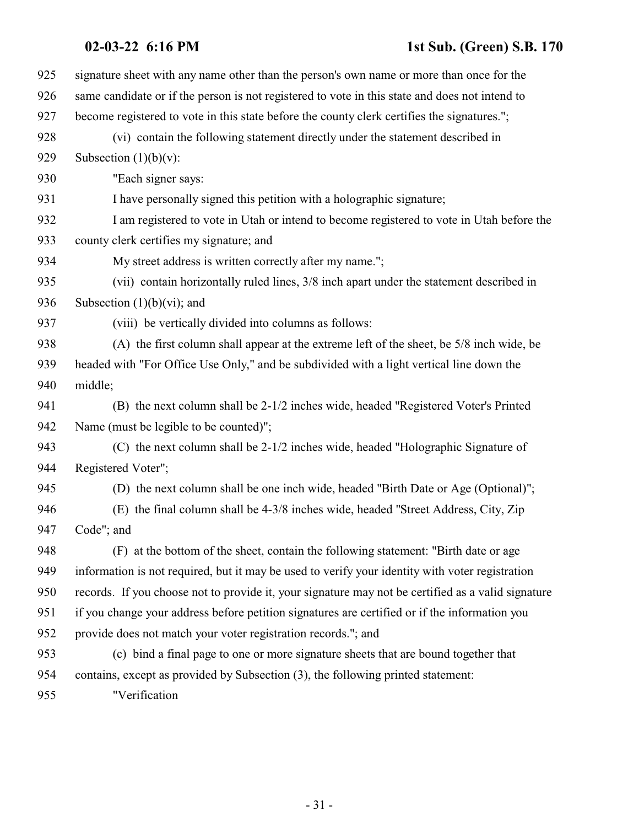## **02-03-22 6:16 PM 1st Sub. (Green) S.B. 170**

| 925 | signature sheet with any name other than the person's own name or more than once for the           |
|-----|----------------------------------------------------------------------------------------------------|
| 926 | same candidate or if the person is not registered to vote in this state and does not intend to     |
| 927 | become registered to vote in this state before the county clerk certifies the signatures.";        |
| 928 | (vi) contain the following statement directly under the statement described in                     |
| 929 | Subsection $(1)(b)(v)$ :                                                                           |
| 930 | "Each signer says:                                                                                 |
| 931 | I have personally signed this petition with a holographic signature;                               |
| 932 | I am registered to vote in Utah or intend to become registered to vote in Utah before the          |
| 933 | county clerk certifies my signature; and                                                           |
| 934 | My street address is written correctly after my name.";                                            |
| 935 | (vii) contain horizontally ruled lines, 3/8 inch apart under the statement described in            |
| 936 | Subsection $(1)(b)(vi)$ ; and                                                                      |
| 937 | (viii) be vertically divided into columns as follows:                                              |
| 938 | (A) the first column shall appear at the extreme left of the sheet, be 5/8 inch wide, be           |
| 939 | headed with "For Office Use Only," and be subdivided with a light vertical line down the           |
| 940 | middle;                                                                                            |
| 941 | (B) the next column shall be 2-1/2 inches wide, headed "Registered Voter's Printed                 |
| 942 | Name (must be legible to be counted)";                                                             |
| 943 | (C) the next column shall be 2-1/2 inches wide, headed "Holographic Signature of                   |
| 944 | Registered Voter";                                                                                 |
| 945 | (D) the next column shall be one inch wide, headed "Birth Date or Age (Optional)";                 |
| 946 | (E) the final column shall be 4-3/8 inches wide, headed "Street Address, City, Zip                 |
| 947 | Code"; and                                                                                         |
| 948 | (F) at the bottom of the sheet, contain the following statement: "Birth date or age                |
| 949 | information is not required, but it may be used to verify your identity with voter registration    |
| 950 | records. If you choose not to provide it, your signature may not be certified as a valid signature |
| 951 | if you change your address before petition signatures are certified or if the information you      |
| 952 | provide does not match your voter registration records."; and                                      |
| 953 | (c) bind a final page to one or more signature sheets that are bound together that                 |
| 954 | contains, except as provided by Subsection (3), the following printed statement:                   |
| 955 | "Verification                                                                                      |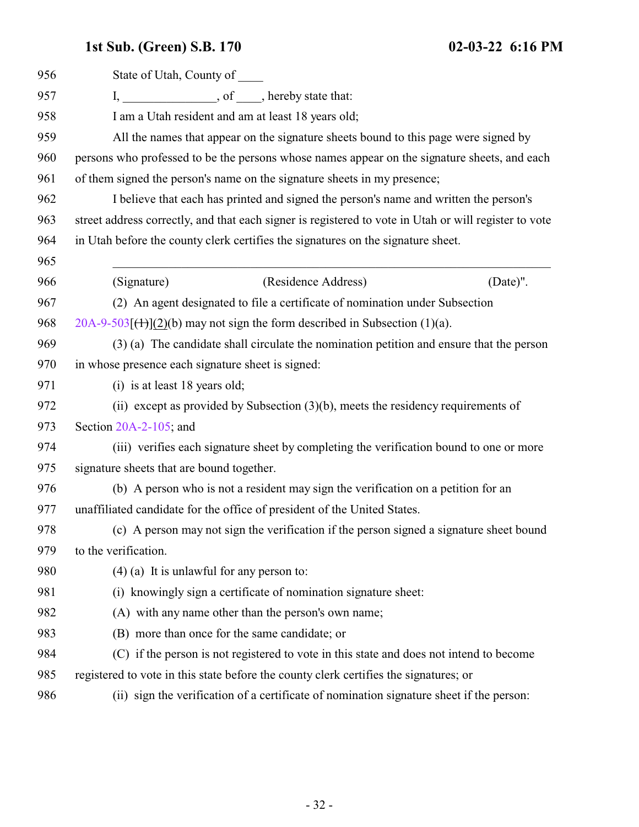| 956 | State of Utah, County of                                                                              |
|-----|-------------------------------------------------------------------------------------------------------|
| 957 | I, ___________________, of _____, hereby state that:                                                  |
| 958 | I am a Utah resident and am at least 18 years old;                                                    |
| 959 | All the names that appear on the signature sheets bound to this page were signed by                   |
| 960 | persons who professed to be the persons whose names appear on the signature sheets, and each          |
| 961 | of them signed the person's name on the signature sheets in my presence;                              |
| 962 | I believe that each has printed and signed the person's name and written the person's                 |
| 963 | street address correctly, and that each signer is registered to vote in Utah or will register to vote |
| 964 | in Utah before the county clerk certifies the signatures on the signature sheet.                      |
| 965 |                                                                                                       |
| 966 | (Residence Address)<br>(Signature)<br>(Date)".                                                        |
| 967 | (2) An agent designated to file a certificate of nomination under Subsection                          |
| 968 | $20A-9-503$ [ $(1)$ ](2)(b) may not sign the form described in Subsection (1)(a).                     |
| 969 | (3) (a) The candidate shall circulate the nomination petition and ensure that the person              |
| 970 | in whose presence each signature sheet is signed:                                                     |
| 971 | (i) is at least 18 years old;                                                                         |
| 972 | (ii) except as provided by Subsection $(3)(b)$ , meets the residency requirements of                  |
| 973 | Section $20A-2-105$ ; and                                                                             |
| 974 | (iii) verifies each signature sheet by completing the verification bound to one or more               |
| 975 | signature sheets that are bound together.                                                             |
| 976 | (b) A person who is not a resident may sign the verification on a petition for an                     |
| 977 | unaffiliated candidate for the office of president of the United States.                              |
| 978 | (c) A person may not sign the verification if the person signed a signature sheet bound               |
| 979 | to the verification.                                                                                  |
| 980 | $(4)$ (a) It is unlawful for any person to:                                                           |
| 981 | (i) knowingly sign a certificate of nomination signature sheet:                                       |
| 982 | (A) with any name other than the person's own name;                                                   |
| 983 | (B) more than once for the same candidate; or                                                         |
| 984 | (C) if the person is not registered to vote in this state and does not intend to become               |
| 985 | registered to vote in this state before the county clerk certifies the signatures; or                 |
| 986 | (ii) sign the verification of a certificate of nomination signature sheet if the person:              |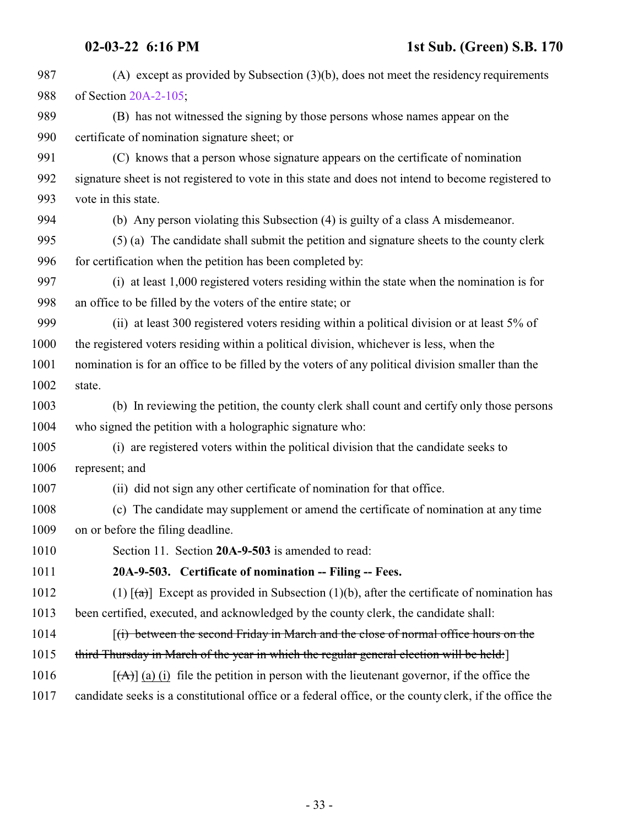<span id="page-32-0"></span>

| 987  | (A) except as provided by Subsection $(3)(b)$ , does not meet the residency requirements                 |
|------|----------------------------------------------------------------------------------------------------------|
| 988  | of Section 20A-2-105;                                                                                    |
| 989  | (B) has not witnessed the signing by those persons whose names appear on the                             |
| 990  | certificate of nomination signature sheet; or                                                            |
| 991  | (C) knows that a person whose signature appears on the certificate of nomination                         |
| 992  | signature sheet is not registered to vote in this state and does not intend to become registered to      |
| 993  | vote in this state.                                                                                      |
| 994  | (b) Any person violating this Subsection (4) is guilty of a class A misdemeanor.                         |
| 995  | (5) (a) The candidate shall submit the petition and signature sheets to the county clerk                 |
| 996  | for certification when the petition has been completed by:                                               |
| 997  | (i) at least 1,000 registered voters residing within the state when the nomination is for                |
| 998  | an office to be filled by the voters of the entire state; or                                             |
| 999  | (ii) at least 300 registered voters residing within a political division or at least 5% of               |
| 1000 | the registered voters residing within a political division, whichever is less, when the                  |
| 1001 | nomination is for an office to be filled by the voters of any political division smaller than the        |
| 1002 | state.                                                                                                   |
| 1003 | (b) In reviewing the petition, the county clerk shall count and certify only those persons               |
| 1004 | who signed the petition with a holographic signature who:                                                |
| 1005 | (i) are registered voters within the political division that the candidate seeks to                      |
| 1006 | represent; and                                                                                           |
| 1007 | (ii) did not sign any other certificate of nomination for that office.                                   |
| 1008 | (c) The candidate may supplement or amend the certificate of nomination at any time                      |
| 1009 | on or before the filing deadline.                                                                        |
| 1010 | Section 11. Section 20A-9-503 is amended to read:                                                        |
| 1011 | 20A-9-503. Certificate of nomination -- Filing -- Fees.                                                  |
| 1012 | (1) $\lceil (a) \rceil$ Except as provided in Subsection (1)(b), after the certificate of nomination has |
| 1013 | been certified, executed, and acknowledged by the county clerk, the candidate shall:                     |
| 1014 | $(i)$ between the second Friday in March and the close of normal office hours on the                     |
|      |                                                                                                          |
| 1015 | third Thursday in March of the year in which the regular general election will be held:                  |
| 1016 | $[\vec{A}]$ (a) (i) file the petition in person with the lieutenant governor, if the office the          |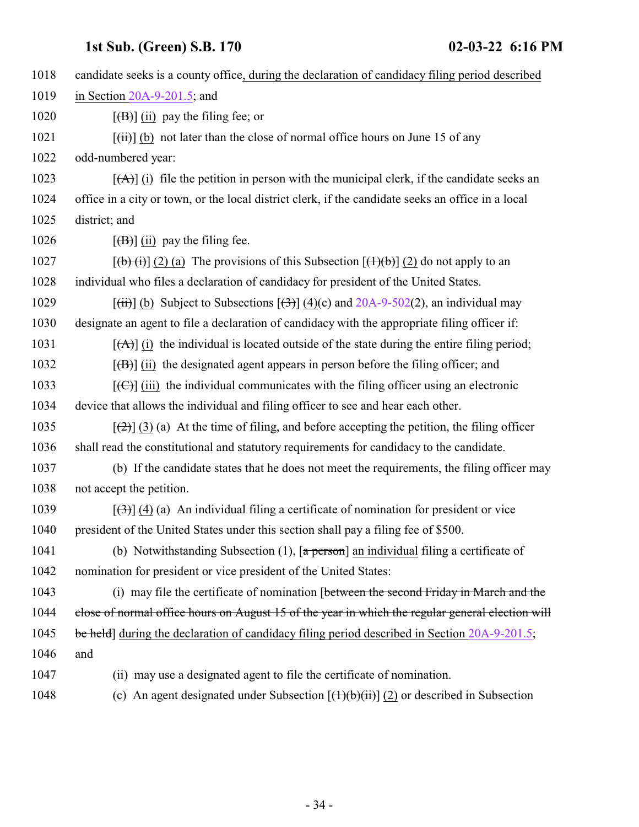| 1018 | candidate seeks is a county office, during the declaration of candidacy filing period described                                |
|------|--------------------------------------------------------------------------------------------------------------------------------|
| 1019 | in Section $20A-9-201.5$ ; and                                                                                                 |
| 1020 |                                                                                                                                |
| 1021 | $[\overrightarrow{t})]$ (b) not later than the close of normal office hours on June 15 of any                                  |
| 1022 | odd-numbered year:                                                                                                             |
| 1023 | $[\overrightarrow{A}]$ (i) file the petition in person with the municipal clerk, if the candidate seeks an                     |
| 1024 | office in a city or town, or the local district clerk, if the candidate seeks an office in a local                             |
| 1025 | district; and                                                                                                                  |
| 1026 | $\left[\frac{1}{10}\right]$ (ii) pay the filing fee.                                                                           |
| 1027 | $[\phi(\mathbf{t})$ (2) (a) The provisions of this Subsection $[\mathbf{t}](\mathbf{t})$ (2) do not apply to an                |
| 1028 | individual who files a declaration of candidacy for president of the United States.                                            |
| 1029 | $[\overrightarrow{tii}]$ (b) Subject to Subsections $[\overrightarrow{t3}]$ (4)(c) and 20A-9-502(2), an individual may         |
| 1030 | designate an agent to file a declaration of candidacy with the appropriate filing officer if:                                  |
| 1031 | $[\hat{A}]$ (i) the individual is located outside of the state during the entire filing period;                                |
| 1032 | $[\overline{(B)}]$ (ii) the designated agent appears in person before the filing officer; and                                  |
| 1033 | $[\text{(\textcircled{f})}]$ (iii) the individual communicates with the filing officer using an electronic                     |
| 1034 | device that allows the individual and filing officer to see and hear each other.                                               |
| 1035 | $[\frac{1}{2}]$ (3) (a) At the time of filing, and before accepting the petition, the filing officer                           |
| 1036 | shall read the constitutional and statutory requirements for candidacy to the candidate.                                       |
| 1037 | (b) If the candidate states that he does not meet the requirements, the filing officer may                                     |
| 1038 | not accept the petition.                                                                                                       |
| 1039 | $[\langle 3\rangle]$ (4) (a) An individual filing a certificate of nomination for president or vice                            |
| 1040 | president of the United States under this section shall pay a filing fee of \$500.                                             |
| 1041 | (b) Notwithstanding Subsection $(1)$ , $\lceil a \frac{\text{person}}{\text{an}} \rceil$ an individual filing a certificate of |
| 1042 | nomination for president or vice president of the United States:                                                               |
| 1043 | (i) may file the certificate of nomination [between the second Friday in March and the                                         |
| 1044 | close of normal office hours on August 15 of the year in which the regular general election will                               |
| 1045 | be held] during the declaration of candidacy filing period described in Section 20A-9-201.5;                                   |
| 1046 | and                                                                                                                            |
| 1047 | (ii) may use a designated agent to file the certificate of nomination.                                                         |
| 1048 | (c) An agent designated under Subsection $[(1)(b)(ii)]$ (2) or described in Subsection                                         |